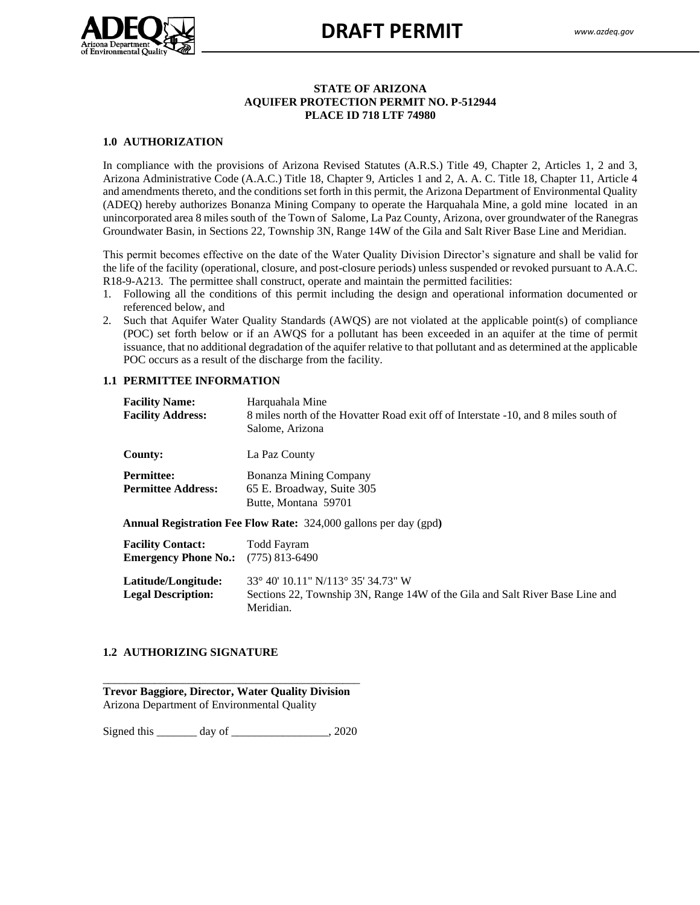

## **STATE OF ARIZONA AQUIFER PROTECTION PERMIT NO. P-512944 PLACE ID 718 LTF 74980**

## **1.0 AUTHORIZATION**

In compliance with the provisions of Arizona Revised Statutes (A.R.S.) Title 49, Chapter 2, Articles 1, 2 and 3, Arizona Administrative Code (A.A.C.) Title 18, Chapter 9, Articles 1 and 2, A. A. C. Title 18, Chapter 11, Article 4 and amendments thereto, and the conditions set forth in this permit, the Arizona Department of Environmental Quality (ADEQ) hereby authorizes Bonanza Mining Company to operate the Harquahala Mine, a gold mine located in an unincorporated area 8 miles south of the Town of Salome, La Paz County, Arizona, over groundwater of the Ranegras Groundwater Basin, in Sections 22, Township 3N, Range 14W of the Gila and Salt River Base Line and Meridian.

This permit becomes effective on the date of the Water Quality Division Director's signature and shall be valid for the life of the facility (operational, closure, and post-closure periods) unless suspended or revoked pursuant to A.A.C. R18-9-A213. The permittee shall construct, operate and maintain the permitted facilities:

- 1. Following all the conditions of this permit including the design and operational information documented or referenced below, and
- 2. Such that Aquifer Water Quality Standards (AWQS) are not violated at the applicable point(s) of compliance (POC) set forth below or if an AWQS for a pollutant has been exceeded in an aquifer at the time of permit issuance, that no additional degradation of the aquifer relative to that pollutant and as determined at the applicable POC occurs as a result of the discharge from the facility.

#### **1.1 PERMITTEE INFORMATION**

| <b>Facility Name:</b><br><b>Facility Address:</b>       | Harquahala Mine<br>8 miles north of the Hovatter Road exit off of Interstate -10, and 8 miles south of<br>Salome, Arizona       |
|---------------------------------------------------------|---------------------------------------------------------------------------------------------------------------------------------|
| County:                                                 | La Paz County                                                                                                                   |
| <b>Permittee:</b><br><b>Permittee Address:</b>          | Bonanza Mining Company<br>65 E. Broadway, Suite 305<br>Butte, Montana 59701                                                     |
|                                                         | <b>Annual Registration Fee Flow Rate:</b> 324,000 gallons per day (gpd)                                                         |
| <b>Facility Contact:</b><br><b>Emergency Phone No.:</b> | Todd Fayram<br>$(775)$ 813-6490                                                                                                 |
| Latitude/Longitude:<br><b>Legal Description:</b>        | 33° 40′ 10.11″ N/113° 35′ 34.73″ W<br>Sections 22, Township 3N, Range 14W of the Gila and Salt River Base Line and<br>Meridian. |

## **1.2 AUTHORIZING SIGNATURE**

\_\_\_\_\_\_\_\_\_\_\_\_\_\_\_\_\_\_\_\_\_\_\_\_\_\_\_\_\_\_\_\_\_\_\_\_\_\_\_\_\_\_\_\_\_ **Trevor Baggiore, Director, Water Quality Division** Arizona Department of Environmental Quality

Signed this \_\_\_\_\_\_\_ day of \_\_\_\_\_\_\_\_\_\_\_\_\_\_, 2020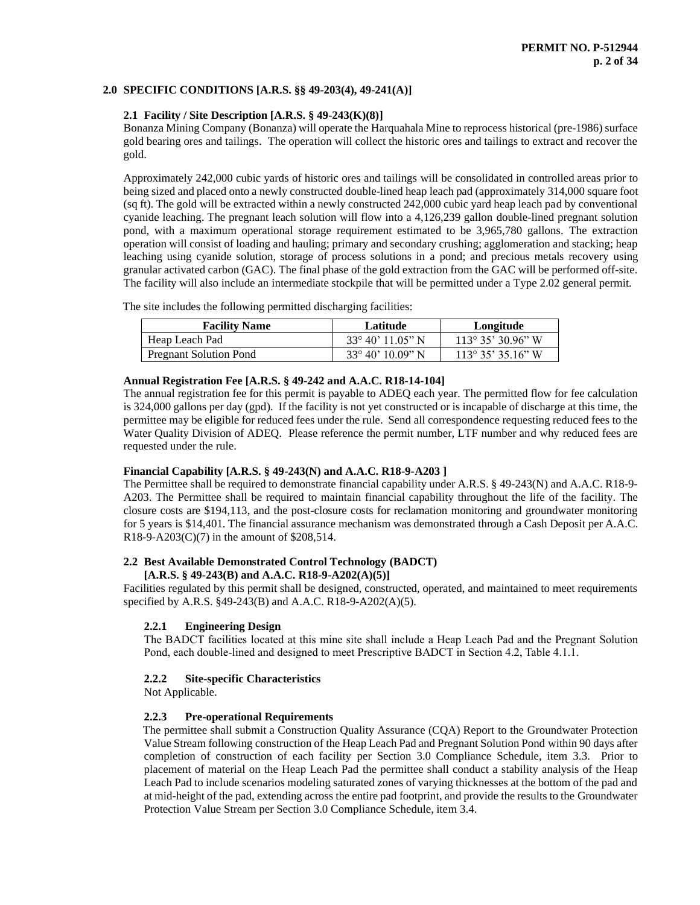## **2.0 SPECIFIC CONDITIONS [A.R.S. §§ 49-203(4), 49-241(A)]**

# **2.1 Facility / Site Description [A.R.S. § 49-243(K)(8)]**

Bonanza Mining Company (Bonanza) will operate the Harquahala Mine to reprocess historical (pre-1986) surface gold bearing ores and tailings. The operation will collect the historic ores and tailings to extract and recover the gold.

Approximately 242,000 cubic yards of historic ores and tailings will be consolidated in controlled areas prior to being sized and placed onto a newly constructed double-lined heap leach pad (approximately 314,000 square foot (sq ft). The gold will be extracted within a newly constructed 242,000 cubic yard heap leach pad by conventional cyanide leaching. The pregnant leach solution will flow into a 4,126,239 gallon double-lined pregnant solution pond, with a maximum operational storage requirement estimated to be 3,965,780 gallons. The extraction operation will consist of loading and hauling; primary and secondary crushing; agglomeration and stacking; heap leaching using cyanide solution, storage of process solutions in a pond; and precious metals recovery using granular activated carbon (GAC). The final phase of the gold extraction from the GAC will be performed off-site. The facility will also include an intermediate stockpile that will be permitted under a Type 2.02 general permit.

The site includes the following permitted discharging facilities:

| <b>Facility Name</b>          | Latitude                   | Longitude                 |
|-------------------------------|----------------------------|---------------------------|
| Heap Leach Pad                | $33^{\circ} 40' 11.05'' N$ | $113^{\circ}35'30.96''$ W |
| <b>Pregnant Solution Pond</b> | $33^{\circ} 40' 10.09''$ N | $113^{\circ}35'35.16''$ W |

## **Annual Registration Fee [A.R.S. § 49-242 and A.A.C. R18-14-104]**

The annual registration fee for this permit is payable to ADEQ each year. The permitted flow for fee calculation is 324,000 gallons per day (gpd). If the facility is not yet constructed or is incapable of discharge at this time, the permittee may be eligible for reduced fees under the rule. Send all correspondence requesting reduced fees to the Water Quality Division of ADEQ. Please reference the permit number, LTF number and why reduced fees are requested under the rule.

## **Financial Capability [A.R.S. § 49-243(N) and A.A.C. R18-9-A203 ]**

The Permittee shall be required to demonstrate financial capability under A.R.S. § 49-243(N) and A.A.C. R18-9- A203. The Permittee shall be required to maintain financial capability throughout the life of the facility. The closure costs are \$194,113, and the post-closure costs for reclamation monitoring and groundwater monitoring for 5 years is \$14,401. The financial assurance mechanism was demonstrated through a Cash Deposit per A.A.C.  $R18-9-A203(C)(7)$  in the amount of \$208,514.

## **2.2 Best Available Demonstrated Control Technology (BADCT)**

## **[A.R.S. § 49-243(B) and A.A.C. R18-9-A202(A)(5)]**

Facilities regulated by this permit shall be designed, constructed, operated, and maintained to meet requirements specified by A.R.S. §49-243(B) and A.A.C. R18-9-A202(A)(5).

# **2.2.1 Engineering Design**

The BADCT facilities located at this mine site shall include a Heap Leach Pad and the Pregnant Solution Pond, each double-lined and designed to meet Prescriptive BADCT in Section 4.2, Table 4.1.1.

## **2.2.2 Site-specific Characteristics**

Not Applicable.

# **2.2.3 Pre-operational Requirements**

 The permittee shall submit a Construction Quality Assurance (CQA) Report to the Groundwater Protection Value Stream following construction of the Heap Leach Pad and Pregnant Solution Pond within 90 days after completion of construction of each facility per Section 3.0 Compliance Schedule, item 3.3. Prior to placement of material on the Heap Leach Pad the permittee shall conduct a stability analysis of the Heap Leach Pad to include scenarios modeling saturated zones of varying thicknesses at the bottom of the pad and at mid-height of the pad, extending across the entire pad footprint, and provide the results to the Groundwater Protection Value Stream per Section 3.0 Compliance Schedule, item 3.4.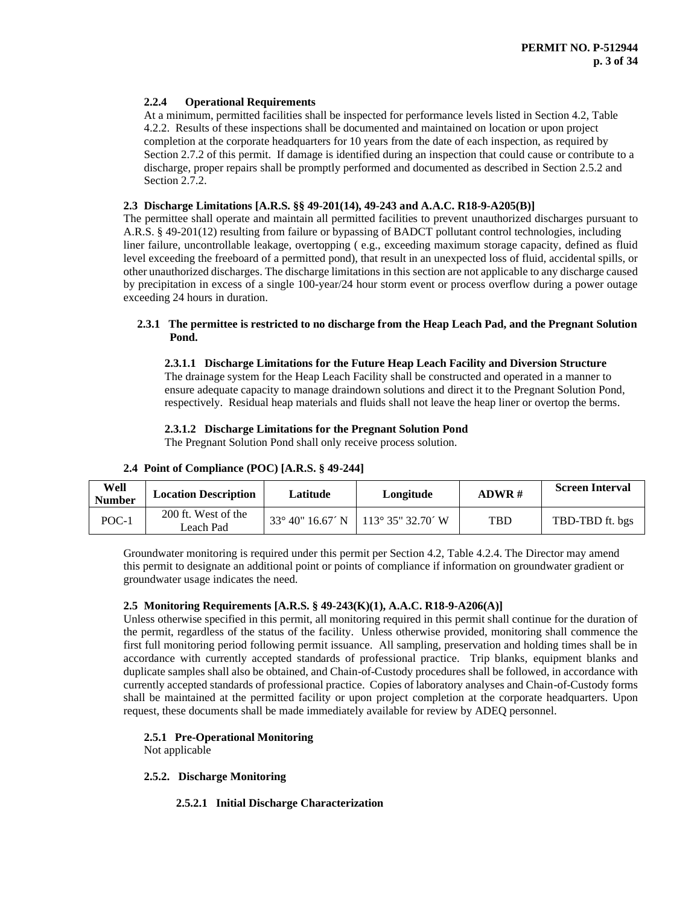## **2.2.4 Operational Requirements**

At a minimum, permitted facilities shall be inspected for performance levels listed in Section 4.2, Table 4.2.2. Results of these inspections shall be documented and maintained on location or upon project completion at the corporate headquarters for 10 years from the date of each inspection, as required by Section 2.7.2 of this permit. If damage is identified during an inspection that could cause or contribute to a discharge, proper repairs shall be promptly performed and documented as described in Section 2.5.2 and Section 2.7.2.

#### **2.3 Discharge Limitations [A.R.S. §§ 49-201(14), 49-243 and A.A.C. R18-9-A205(B)]**

The permittee shall operate and maintain all permitted facilities to prevent unauthorized discharges pursuant to A.R.S. § 49-201(12) resulting from failure or bypassing of BADCT pollutant control technologies, including liner failure, uncontrollable leakage, overtopping ( e.g., exceeding maximum storage capacity, defined as fluid level exceeding the freeboard of a permitted pond), that result in an unexpected loss of fluid, accidental spills, or other unauthorized discharges. The discharge limitations in this section are not applicable to any discharge caused by precipitation in excess of a single 100-year/24 hour storm event or process overflow during a power outage exceeding 24 hours in duration.

## **2.3.1 The permittee is restricted to no discharge from the Heap Leach Pad, and the Pregnant Solution Pond.**

#### **2.3.1.1 Discharge Limitations for the Future Heap Leach Facility and Diversion Structure**

The drainage system for the Heap Leach Facility shall be constructed and operated in a manner to ensure adequate capacity to manage draindown solutions and direct it to the Pregnant Solution Pond, respectively. Residual heap materials and fluids shall not leave the heap liner or overtop the berms.

## **2.3.1.2 Discharge Limitations for the Pregnant Solution Pond**

The Pregnant Solution Pond shall only receive process solution.

| Well<br><b>Number</b> | <b>Location Description</b>      | Latitude                  | Longitude                               | ADWR#      | <b>Screen Interval</b> |
|-----------------------|----------------------------------|---------------------------|-----------------------------------------|------------|------------------------|
| POC-1                 | 200 ft. West of the<br>Leach Pad | $33^{\circ}$ 40" 16.67' N | $113^{\circ}35^{\circ}32.70^{\prime}$ W | <b>TBD</b> | TBD-TBD ft. bgs        |

## **2.4 Point of Compliance (POC) [A.R.S. § 49-244]**

Groundwater monitoring is required under this permit per Section 4.2, Table 4.2.4. The Director may amend this permit to designate an additional point or points of compliance if information on groundwater gradient or groundwater usage indicates the need.

## **2.5 Monitoring Requirements [A.R.S. § 49-243(K)(1), A.A.C. R18-9-A206(A)]**

Unless otherwise specified in this permit, all monitoring required in this permit shall continue for the duration of the permit, regardless of the status of the facility. Unless otherwise provided, monitoring shall commence the first full monitoring period following permit issuance. All sampling, preservation and holding times shall be in accordance with currently accepted standards of professional practice. Trip blanks, equipment blanks and duplicate samples shall also be obtained, and Chain-of-Custody procedures shall be followed, in accordance with currently accepted standards of professional practice. Copies of laboratory analyses and Chain-of-Custody forms shall be maintained at the permitted facility or upon project completion at the corporate headquarters. Upon request, these documents shall be made immediately available for review by ADEQ personnel.

## **2.5.1 Pre-Operational Monitoring**

Not applicable

## **2.5.2. Discharge Monitoring**

## **2.5.2.1 Initial Discharge Characterization**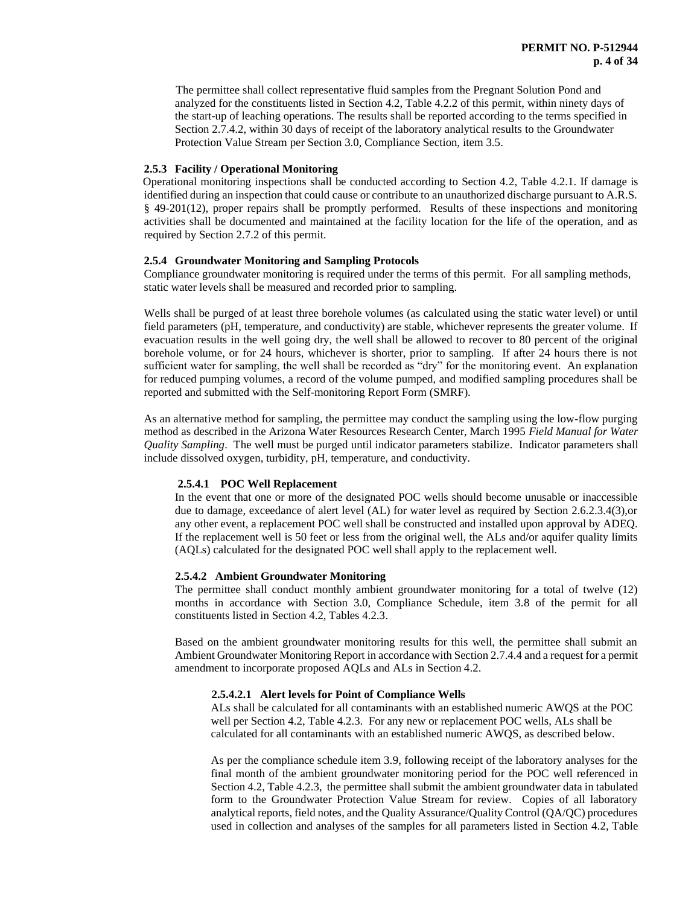The permittee shall collect representative fluid samples from the Pregnant Solution Pond and analyzed for the constituents listed in Section 4.2, Table 4.2.2 of this permit, within ninety days of the start-up of leaching operations. The results shall be reported according to the terms specified in Section 2.7.4.2, within 30 days of receipt of the laboratory analytical results to the Groundwater Protection Value Stream per Section 3.0, Compliance Section, item 3.5.

#### **2.5.3 Facility / Operational Monitoring**

 Operational monitoring inspections shall be conducted according to Section 4.2, Table 4.2.1. If damage is identified during an inspection that could cause or contribute to an unauthorized discharge pursuant to A.R.S. § 49-201(12), proper repairs shall be promptly performed. Results of these inspections and monitoring activities shall be documented and maintained at the facility location for the life of the operation, and as required by Section 2.7.2 of this permit.

#### **2.5.4 Groundwater Monitoring and Sampling Protocols**

Compliance groundwater monitoring is required under the terms of this permit. For all sampling methods, static water levels shall be measured and recorded prior to sampling.

Wells shall be purged of at least three borehole volumes (as calculated using the static water level) or until field parameters (pH, temperature, and conductivity) are stable, whichever represents the greater volume. If evacuation results in the well going dry, the well shall be allowed to recover to 80 percent of the original borehole volume, or for 24 hours, whichever is shorter, prior to sampling. If after 24 hours there is not sufficient water for sampling, the well shall be recorded as "dry" for the monitoring event. An explanation for reduced pumping volumes, a record of the volume pumped, and modified sampling procedures shall be reported and submitted with the Self-monitoring Report Form (SMRF).

As an alternative method for sampling, the permittee may conduct the sampling using the low-flow purging method as described in the Arizona Water Resources Research Center, March 1995 *Field Manual for Water Quality Sampling*. The well must be purged until indicator parameters stabilize. Indicator parameters shall include dissolved oxygen, turbidity, pH, temperature, and conductivity.

## **2.5.4.1 POC Well Replacement**

In the event that one or more of the designated POC wells should become unusable or inaccessible due to damage, exceedance of alert level (AL) for water level as required by Section 2.6.2.3.4(3),or any other event, a replacement POC well shall be constructed and installed upon approval by ADEQ. If the replacement well is 50 feet or less from the original well, the ALs and/or aquifer quality limits (AQLs) calculated for the designated POC well shall apply to the replacement well.

#### **2.5.4.2 Ambient Groundwater Monitoring**

The permittee shall conduct monthly ambient groundwater monitoring for a total of twelve (12) months in accordance with Section 3.0, Compliance Schedule, item 3.8 of the permit for all constituents listed in Section 4.2, Tables 4.2.3.

Based on the ambient groundwater monitoring results for this well, the permittee shall submit an Ambient Groundwater Monitoring Report in accordance with Section 2.7.4.4 and a request for a permit amendment to incorporate proposed AQLs and ALs in Section 4.2.

## **2.5.4.2.1 Alert levels for Point of Compliance Wells**

ALs shall be calculated for all contaminants with an established numeric AWQS at the POC well per Section 4.2, Table 4.2.3. For any new or replacement POC wells, ALs shall be calculated for all contaminants with an established numeric AWQS, as described below.

As per the compliance schedule item 3.9, following receipt of the laboratory analyses for the final month of the ambient groundwater monitoring period for the POC well referenced in Section 4.2, Table 4.2.3, the permittee shall submit the ambient groundwater data in tabulated form to the Groundwater Protection Value Stream for review. Copies of all laboratory analytical reports, field notes, and the Quality Assurance/Quality Control (QA/QC) procedures used in collection and analyses of the samples for all parameters listed in Section 4.2, Table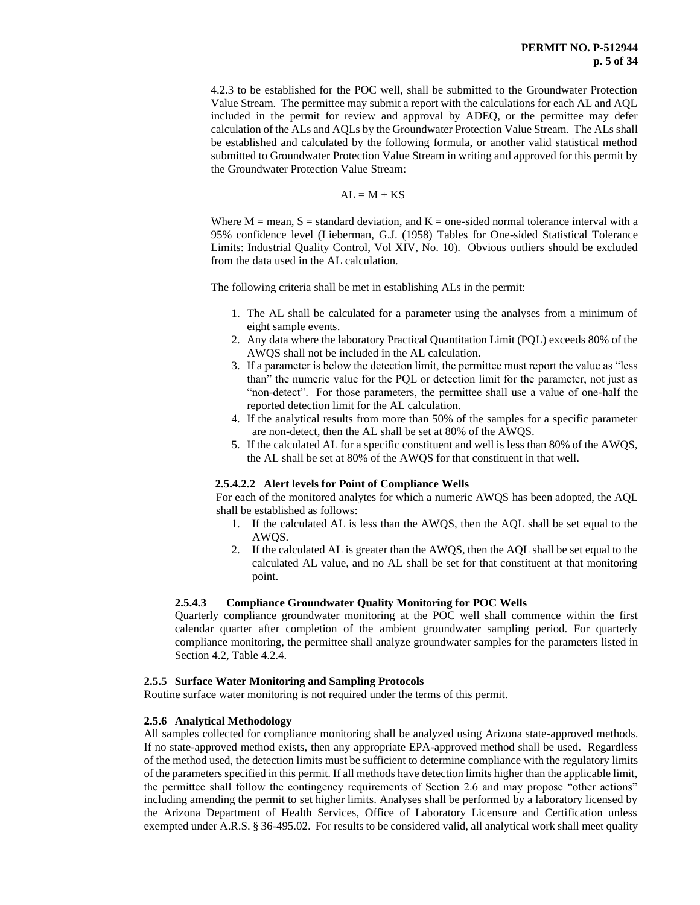4.2.3 to be established for the POC well, shall be submitted to the Groundwater Protection Value Stream. The permittee may submit a report with the calculations for each AL and AQL included in the permit for review and approval by ADEQ, or the permittee may defer calculation of the ALs and AQLs by the Groundwater Protection Value Stream. The ALs shall be established and calculated by the following formula, or another valid statistical method submitted to Groundwater Protection Value Stream in writing and approved for this permit by the Groundwater Protection Value Stream:

$$
AL = M + KS
$$

Where  $M =$  mean,  $S =$  standard deviation, and  $K =$  one-sided normal tolerance interval with a 95% confidence level (Lieberman, G.J. (1958) Tables for One-sided Statistical Tolerance Limits: Industrial Quality Control, Vol XIV, No. 10). Obvious outliers should be excluded from the data used in the AL calculation.

The following criteria shall be met in establishing ALs in the permit:

- 1. The AL shall be calculated for a parameter using the analyses from a minimum of eight sample events.
- 2. Any data where the laboratory Practical Quantitation Limit (PQL) exceeds 80% of the AWQS shall not be included in the AL calculation.
- 3. If a parameter is below the detection limit, the permittee must report the value as "less than" the numeric value for the PQL or detection limit for the parameter, not just as "non-detect". For those parameters, the permittee shall use a value of one-half the reported detection limit for the AL calculation.
- 4. If the analytical results from more than 50% of the samples for a specific parameter are non-detect, then the AL shall be set at 80% of the AWQS.
- 5. If the calculated AL for a specific constituent and well is less than 80% of the AWQS, the AL shall be set at 80% of the AWQS for that constituent in that well.

## **2.5.4.2.2 Alert levels for Point of Compliance Wells**

For each of the monitored analytes for which a numeric AWQS has been adopted, the AQL shall be established as follows:

- 1. If the calculated AL is less than the AWQS, then the AQL shall be set equal to the AWQS.
- 2. If the calculated AL is greater than the AWQS, then the AQL shall be set equal to the calculated AL value, and no AL shall be set for that constituent at that monitoring point.

## **2.5.4.3 Compliance Groundwater Quality Monitoring for POC Wells**

Quarterly compliance groundwater monitoring at the POC well shall commence within the first calendar quarter after completion of the ambient groundwater sampling period. For quarterly compliance monitoring, the permittee shall analyze groundwater samples for the parameters listed in Section 4.2, Table 4.2.4.

## **2.5.5 Surface Water Monitoring and Sampling Protocols**

Routine surface water monitoring is not required under the terms of this permit.

## **2.5.6 Analytical Methodology**

All samples collected for compliance monitoring shall be analyzed using Arizona state-approved methods. If no state-approved method exists, then any appropriate EPA-approved method shall be used. Regardless of the method used, the detection limits must be sufficient to determine compliance with the regulatory limits of the parameters specified in this permit. If all methods have detection limits higher than the applicable limit, the permittee shall follow the contingency requirements of Section 2.6 and may propose "other actions" including amending the permit to set higher limits. Analyses shall be performed by a laboratory licensed by the Arizona Department of Health Services, Office of Laboratory Licensure and Certification unless exempted under A.R.S. § 36-495.02. For results to be considered valid, all analytical work shall meet quality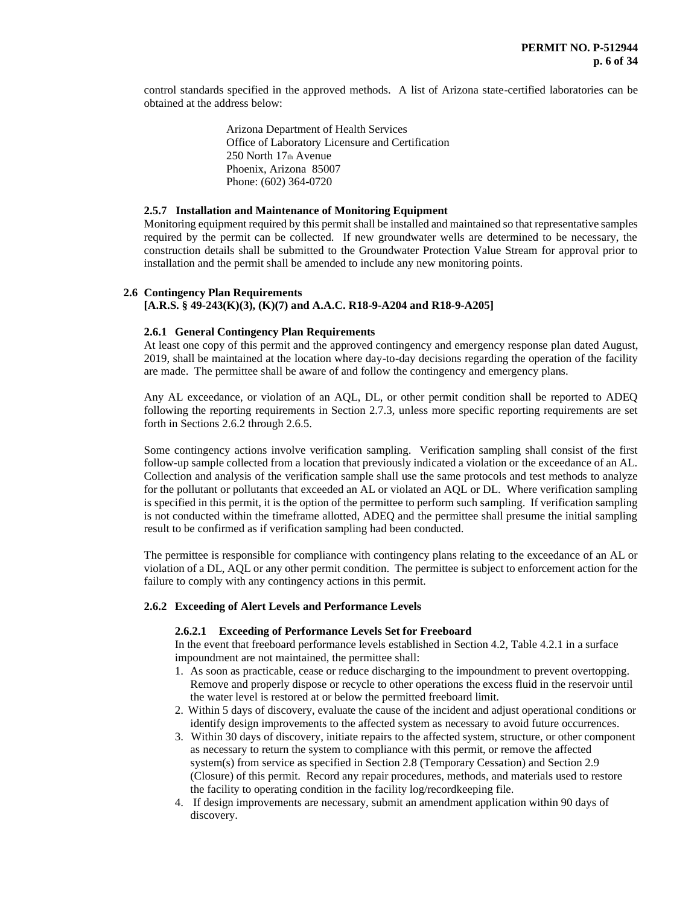control standards specified in the approved methods. A list of Arizona state-certified laboratories can be obtained at the address below:

> Arizona Department of Health Services Office of Laboratory Licensure and Certification 250 North 17th Avenue Phoenix, Arizona 85007 Phone: (602) 364-0720

## **2.5.7 Installation and Maintenance of Monitoring Equipment**

Monitoring equipment required by this permit shall be installed and maintained so that representative samples required by the permit can be collected. If new groundwater wells are determined to be necessary, the construction details shall be submitted to the Groundwater Protection Value Stream for approval prior to installation and the permit shall be amended to include any new monitoring points.

## **2.6 Contingency Plan Requirements**

**[A.R.S. § 49-243(K)(3), (K)(7) and A.A.C. R18-9-A204 and R18-9-A205]**

## **2.6.1 General Contingency Plan Requirements**

At least one copy of this permit and the approved contingency and emergency response plan dated August, 2019, shall be maintained at the location where day-to-day decisions regarding the operation of the facility are made. The permittee shall be aware of and follow the contingency and emergency plans.

Any AL exceedance, or violation of an AQL, DL, or other permit condition shall be reported to ADEQ following the reporting requirements in Section 2.7.3, unless more specific reporting requirements are set forth in Sections 2.6.2 through 2.6.5.

Some contingency actions involve verification sampling. Verification sampling shall consist of the first follow-up sample collected from a location that previously indicated a violation or the exceedance of an AL. Collection and analysis of the verification sample shall use the same protocols and test methods to analyze for the pollutant or pollutants that exceeded an AL or violated an AQL or DL. Where verification sampling is specified in this permit, it is the option of the permittee to perform such sampling. If verification sampling is not conducted within the timeframe allotted, ADEQ and the permittee shall presume the initial sampling result to be confirmed as if verification sampling had been conducted.

The permittee is responsible for compliance with contingency plans relating to the exceedance of an AL or violation of a DL, AQL or any other permit condition. The permittee is subject to enforcement action for the failure to comply with any contingency actions in this permit.

#### **2.6.2 Exceeding of Alert Levels and Performance Levels**

#### **2.6.2.1 Exceeding of Performance Levels Set for Freeboard**

In the event that freeboard performance levels established in Section 4.2, Table 4.2.1 in a surface impoundment are not maintained, the permittee shall:

- 1. As soon as practicable, cease or reduce discharging to the impoundment to prevent overtopping. Remove and properly dispose or recycle to other operations the excess fluid in the reservoir until the water level is restored at or below the permitted freeboard limit.
- 2. Within 5 days of discovery, evaluate the cause of the incident and adjust operational conditions or identify design improvements to the affected system as necessary to avoid future occurrences.
- 3. Within 30 days of discovery, initiate repairs to the affected system, structure, or other component as necessary to return the system to compliance with this permit, or remove the affected system(s) from service as specified in Section 2.8 (Temporary Cessation) and Section 2.9 (Closure) of this permit. Record any repair procedures, methods, and materials used to restore the facility to operating condition in the facility log/recordkeeping file.
- 4. If design improvements are necessary, submit an amendment application within 90 days of discovery.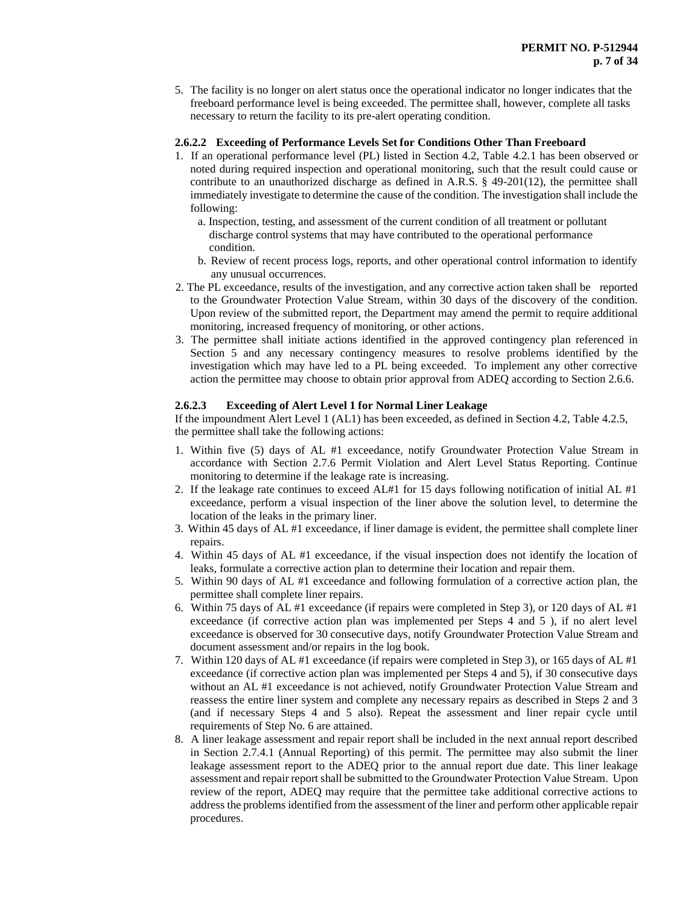5. The facility is no longer on alert status once the operational indicator no longer indicates that the freeboard performance level is being exceeded. The permittee shall, however, complete all tasks necessary to return the facility to its pre-alert operating condition.

## **2.6.2.2 Exceeding of Performance Levels Set for Conditions Other Than Freeboard**

- 1. If an operational performance level (PL) listed in Section 4.2, Table 4.2.1 has been observed or noted during required inspection and operational monitoring, such that the result could cause or contribute to an unauthorized discharge as defined in A.R.S.  $\S$  49-201(12), the permittee shall immediately investigate to determine the cause of the condition. The investigation shall include the following:
	- a. Inspection, testing, and assessment of the current condition of all treatment or pollutant discharge control systems that may have contributed to the operational performance condition.
	- b. Review of recent process logs, reports, and other operational control information to identify any unusual occurrences.
- 2. The PL exceedance, results of the investigation, and any corrective action taken shall be reported to the Groundwater Protection Value Stream, within 30 days of the discovery of the condition. Upon review of the submitted report, the Department may amend the permit to require additional monitoring, increased frequency of monitoring, or other actions.
- 3. The permittee shall initiate actions identified in the approved contingency plan referenced in Section 5 and any necessary contingency measures to resolve problems identified by the investigation which may have led to a PL being exceeded. To implement any other corrective action the permittee may choose to obtain prior approval from ADEQ according to Section 2.6.6.

# **2.6.2.3 Exceeding of Alert Level 1 for Normal Liner Leakage**

If the impoundment Alert Level 1 (AL1) has been exceeded, as defined in Section 4.2, Table 4.2.5, the permittee shall take the following actions:

- 1. Within five (5) days of AL #1 exceedance, notify Groundwater Protection Value Stream in accordance with Section 2.7.6 Permit Violation and Alert Level Status Reporting. Continue monitoring to determine if the leakage rate is increasing.
- 2. If the leakage rate continues to exceed AL#1 for 15 days following notification of initial AL #1 exceedance, perform a visual inspection of the liner above the solution level, to determine the location of the leaks in the primary liner.
- 3. Within 45 days of AL #1 exceedance, if liner damage is evident, the permittee shall complete liner repairs.
- 4. Within 45 days of AL #1 exceedance, if the visual inspection does not identify the location of leaks, formulate a corrective action plan to determine their location and repair them.
- 5. Within 90 days of AL #1 exceedance and following formulation of a corrective action plan, the permittee shall complete liner repairs.
- 6. Within 75 days of AL #1 exceedance (if repairs were completed in Step 3), or 120 days of AL #1 exceedance (if corrective action plan was implemented per Steps 4 and 5 ), if no alert level exceedance is observed for 30 consecutive days, notify Groundwater Protection Value Stream and document assessment and/or repairs in the log book.
- 7. Within 120 days of AL #1 exceedance (if repairs were completed in Step 3), or 165 days of AL #1 exceedance (if corrective action plan was implemented per Steps 4 and 5), if 30 consecutive days without an AL #1 exceedance is not achieved, notify Groundwater Protection Value Stream and reassess the entire liner system and complete any necessary repairs as described in Steps 2 and 3 (and if necessary Steps 4 and 5 also). Repeat the assessment and liner repair cycle until requirements of Step No. 6 are attained.
- 8. A liner leakage assessment and repair report shall be included in the next annual report described in Section 2.7.4.1 (Annual Reporting) of this permit. The permittee may also submit the liner leakage assessment report to the ADEQ prior to the annual report due date. This liner leakage assessment and repair report shall be submitted to the Groundwater Protection Value Stream. Upon review of the report, ADEQ may require that the permittee take additional corrective actions to address the problems identified from the assessment of the liner and perform other applicable repair procedures.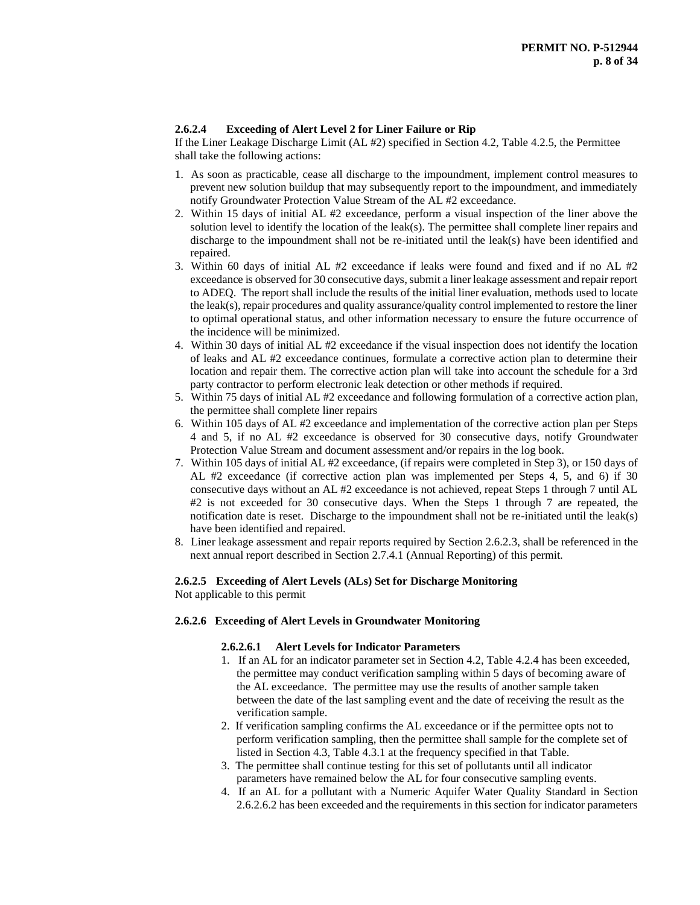# **2.6.2.4 Exceeding of Alert Level 2 for Liner Failure or Rip**

If the Liner Leakage Discharge Limit (AL #2) specified in Section 4.2, Table 4.2.5, the Permittee shall take the following actions:

- 1. As soon as practicable, cease all discharge to the impoundment, implement control measures to prevent new solution buildup that may subsequently report to the impoundment, and immediately notify Groundwater Protection Value Stream of the AL #2 exceedance.
- 2. Within 15 days of initial AL #2 exceedance, perform a visual inspection of the liner above the solution level to identify the location of the leak(s). The permittee shall complete liner repairs and discharge to the impoundment shall not be re-initiated until the leak(s) have been identified and repaired.
- 3. Within 60 days of initial AL #2 exceedance if leaks were found and fixed and if no AL #2 exceedance is observed for 30 consecutive days, submit a liner leakage assessment and repair report to ADEQ. The report shall include the results of the initial liner evaluation, methods used to locate the leak(s), repair procedures and quality assurance/quality control implemented to restore the liner to optimal operational status, and other information necessary to ensure the future occurrence of the incidence will be minimized.
- 4. Within 30 days of initial AL #2 exceedance if the visual inspection does not identify the location of leaks and AL #2 exceedance continues, formulate a corrective action plan to determine their location and repair them. The corrective action plan will take into account the schedule for a 3rd party contractor to perform electronic leak detection or other methods if required.
- 5. Within 75 days of initial AL #2 exceedance and following formulation of a corrective action plan, the permittee shall complete liner repairs
- 6. Within 105 days of AL #2 exceedance and implementation of the corrective action plan per Steps 4 and 5, if no AL #2 exceedance is observed for 30 consecutive days, notify Groundwater Protection Value Stream and document assessment and/or repairs in the log book.
- 7. Within 105 days of initial AL #2 exceedance, (if repairs were completed in Step 3), or 150 days of AL #2 exceedance (if corrective action plan was implemented per Steps 4, 5, and 6) if 30 consecutive days without an AL #2 exceedance is not achieved, repeat Steps 1 through 7 until AL #2 is not exceeded for 30 consecutive days. When the Steps 1 through 7 are repeated, the notification date is reset. Discharge to the impoundment shall not be re-initiated until the leak(s) have been identified and repaired.
- 8. Liner leakage assessment and repair reports required by Section 2.6.2.3, shall be referenced in the next annual report described in Section 2.7.4.1 (Annual Reporting) of this permit.

## **2.6.2.5 Exceeding of Alert Levels (ALs) Set for Discharge Monitoring**

Not applicable to this permit

## **2.6.2.6 Exceeding of Alert Levels in Groundwater Monitoring**

## **2.6.2.6.1 Alert Levels for Indicator Parameters**

- 1. If an AL for an indicator parameter set in Section 4.2, Table 4.2.4 has been exceeded, the permittee may conduct verification sampling within 5 days of becoming aware of the AL exceedance. The permittee may use the results of another sample taken between the date of the last sampling event and the date of receiving the result as the verification sample.
- 2. If verification sampling confirms the AL exceedance or if the permittee opts not to perform verification sampling, then the permittee shall sample for the complete set of listed in Section 4.3, Table 4.3.1 at the frequency specified in that Table.
- 3. The permittee shall continue testing for this set of pollutants until all indicator parameters have remained below the AL for four consecutive sampling events.
- 4. If an AL for a pollutant with a Numeric Aquifer Water Quality Standard in Section 2.6.2.6.2 has been exceeded and the requirements in this section for indicator parameters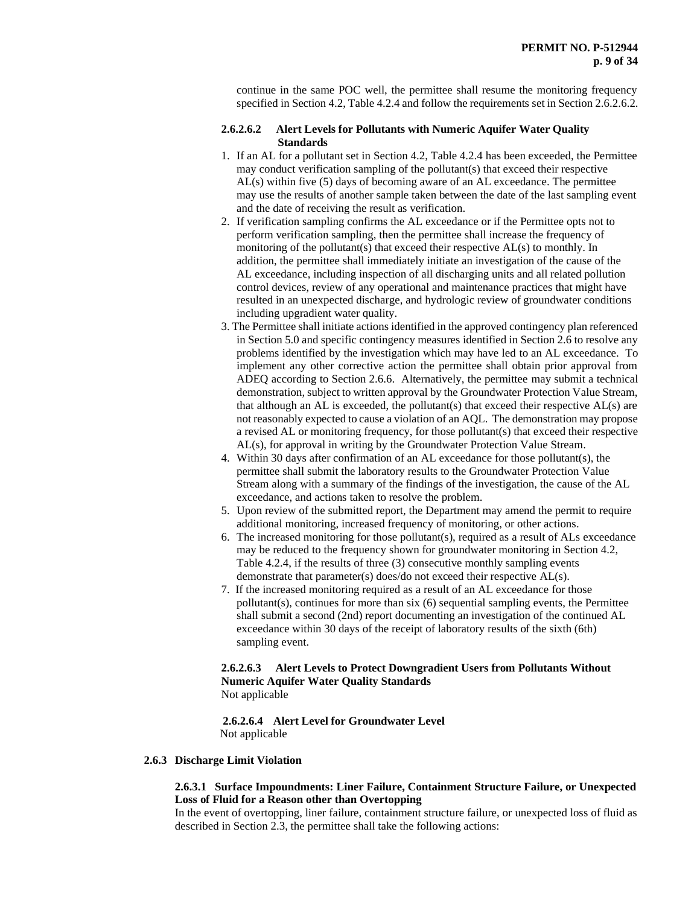continue in the same POC well, the permittee shall resume the monitoring frequency specified in Section 4.2, Table 4.2.4 and follow the requirements set in Section 2.6.2.6.2.

## **2.6.2.6.2 Alert Levels for Pollutants with Numeric Aquifer Water Quality Standards**

- 1. If an AL for a pollutant set in Section 4.2, Table 4.2.4 has been exceeded, the Permittee may conduct verification sampling of the pollutant(s) that exceed their respective AL(s) within five (5) days of becoming aware of an AL exceedance. The permittee may use the results of another sample taken between the date of the last sampling event and the date of receiving the result as verification.
- 2. If verification sampling confirms the AL exceedance or if the Permittee opts not to perform verification sampling, then the permittee shall increase the frequency of monitoring of the pollutant(s) that exceed their respective  $AL(s)$  to monthly. In addition, the permittee shall immediately initiate an investigation of the cause of the AL exceedance, including inspection of all discharging units and all related pollution control devices, review of any operational and maintenance practices that might have resulted in an unexpected discharge, and hydrologic review of groundwater conditions including upgradient water quality.
- 3. The Permittee shall initiate actions identified in the approved contingency plan referenced in Section 5.0 and specific contingency measures identified in Section 2.6 to resolve any problems identified by the investigation which may have led to an AL exceedance. To implement any other corrective action the permittee shall obtain prior approval from ADEQ according to Section 2.6.6. Alternatively, the permittee may submit a technical demonstration, subject to written approval by the Groundwater Protection Value Stream, that although an AL is exceeded, the pollutant(s) that exceed their respective AL(s) are not reasonably expected to cause a violation of an AQL. The demonstration may propose a revised AL or monitoring frequency, for those pollutant(s) that exceed their respective AL(s), for approval in writing by the Groundwater Protection Value Stream.
- 4. Within 30 days after confirmation of an AL exceedance for those pollutant(s), the permittee shall submit the laboratory results to the Groundwater Protection Value Stream along with a summary of the findings of the investigation, the cause of the AL exceedance, and actions taken to resolve the problem.
- 5. Upon review of the submitted report, the Department may amend the permit to require additional monitoring, increased frequency of monitoring, or other actions.
- 6. The increased monitoring for those pollutant(s), required as a result of ALs exceedance may be reduced to the frequency shown for groundwater monitoring in Section 4.2, Table 4.2.4, if the results of three (3) consecutive monthly sampling events demonstrate that parameter(s) does/do not exceed their respective AL(s).
- 7. If the increased monitoring required as a result of an AL exceedance for those pollutant(s), continues for more than six (6) sequential sampling events, the Permittee shall submit a second (2nd) report documenting an investigation of the continued AL exceedance within 30 days of the receipt of laboratory results of the sixth (6th) sampling event.

## **2.6.2.6.3 Alert Levels to Protect Downgradient Users from Pollutants Without Numeric Aquifer Water Quality Standards** Not applicable

 **2.6.2.6.4 Alert Level for Groundwater Level** Not applicable

## **2.6.3 Discharge Limit Violation**

## **2.6.3.1 Surface Impoundments: Liner Failure, Containment Structure Failure, or Unexpected Loss of Fluid for a Reason other than Overtopping**

In the event of overtopping, liner failure, containment structure failure, or unexpected loss of fluid as described in Section 2.3, the permittee shall take the following actions: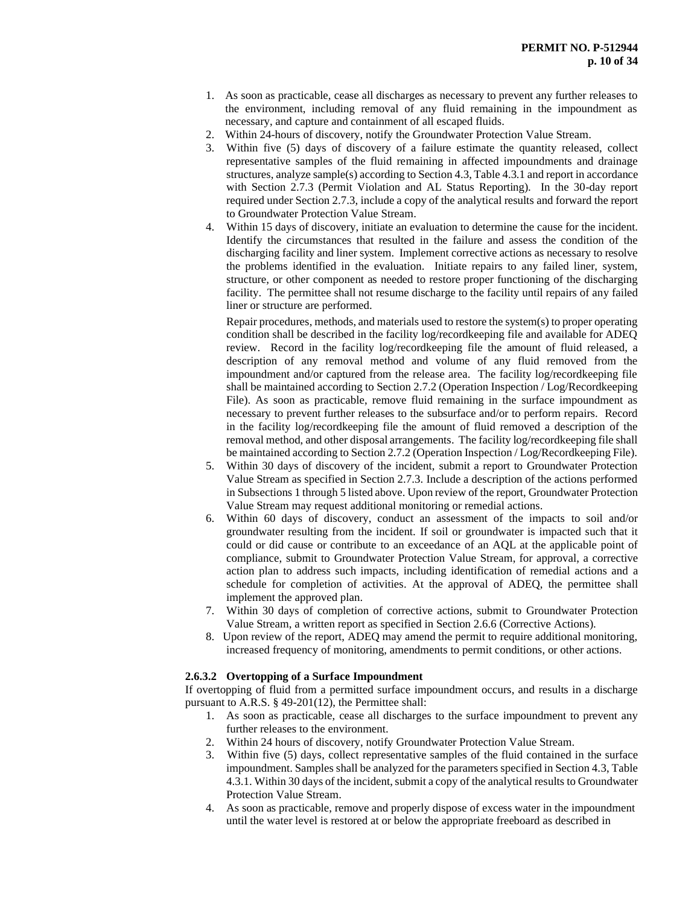- 1. As soon as practicable, cease all discharges as necessary to prevent any further releases to the environment, including removal of any fluid remaining in the impoundment as necessary, and capture and containment of all escaped fluids.
- 2. Within 24-hours of discovery, notify the Groundwater Protection Value Stream.
- 3. Within five (5) days of discovery of a failure estimate the quantity released, collect representative samples of the fluid remaining in affected impoundments and drainage structures, analyze sample(s) according to Section 4.3, Table 4.3.1 and report in accordance with Section 2.7.3 (Permit Violation and AL Status Reporting). In the 30-day report required under Section 2.7.3, include a copy of the analytical results and forward the report to Groundwater Protection Value Stream.
- 4. Within 15 days of discovery, initiate an evaluation to determine the cause for the incident. Identify the circumstances that resulted in the failure and assess the condition of the discharging facility and liner system. Implement corrective actions as necessary to resolve the problems identified in the evaluation. Initiate repairs to any failed liner, system, structure, or other component as needed to restore proper functioning of the discharging facility. The permittee shall not resume discharge to the facility until repairs of any failed liner or structure are performed.

Repair procedures, methods, and materials used to restore the system(s) to proper operating condition shall be described in the facility log/recordkeeping file and available for ADEQ review. Record in the facility log/recordkeeping file the amount of fluid released, a description of any removal method and volume of any fluid removed from the impoundment and/or captured from the release area. The facility log/recordkeeping file shall be maintained according to Section 2.7.2 (Operation Inspection / Log/Recordkeeping File). As soon as practicable, remove fluid remaining in the surface impoundment as necessary to prevent further releases to the subsurface and/or to perform repairs. Record in the facility log/recordkeeping file the amount of fluid removed a description of the removal method, and other disposal arrangements. The facility log/recordkeeping file shall be maintained according to Section 2.7.2 (Operation Inspection / Log/Recordkeeping File).

- 5. Within 30 days of discovery of the incident, submit a report to Groundwater Protection Value Stream as specified in Section 2.7.3. Include a description of the actions performed in Subsections 1 through 5 listed above. Upon review of the report, Groundwater Protection Value Stream may request additional monitoring or remedial actions.
- 6. Within 60 days of discovery, conduct an assessment of the impacts to soil and/or groundwater resulting from the incident. If soil or groundwater is impacted such that it could or did cause or contribute to an exceedance of an AQL at the applicable point of compliance, submit to Groundwater Protection Value Stream, for approval, a corrective action plan to address such impacts, including identification of remedial actions and a schedule for completion of activities. At the approval of ADEQ, the permittee shall implement the approved plan.
- 7. Within 30 days of completion of corrective actions, submit to Groundwater Protection Value Stream, a written report as specified in Section 2.6.6 (Corrective Actions).
- 8. Upon review of the report, ADEQ may amend the permit to require additional monitoring, increased frequency of monitoring, amendments to permit conditions, or other actions.

## **2.6.3.2 Overtopping of a Surface Impoundment**

If overtopping of fluid from a permitted surface impoundment occurs, and results in a discharge pursuant to A.R.S. § 49-201(12), the Permittee shall:

- 1. As soon as practicable, cease all discharges to the surface impoundment to prevent any further releases to the environment.
- 2. Within 24 hours of discovery, notify Groundwater Protection Value Stream.
- 3. Within five (5) days, collect representative samples of the fluid contained in the surface impoundment. Samples shall be analyzed for the parameters specified in Section 4.3, Table 4.3.1. Within 30 days of the incident, submit a copy of the analytical results to Groundwater Protection Value Stream.
- 4. As soon as practicable, remove and properly dispose of excess water in the impoundment until the water level is restored at or below the appropriate freeboard as described in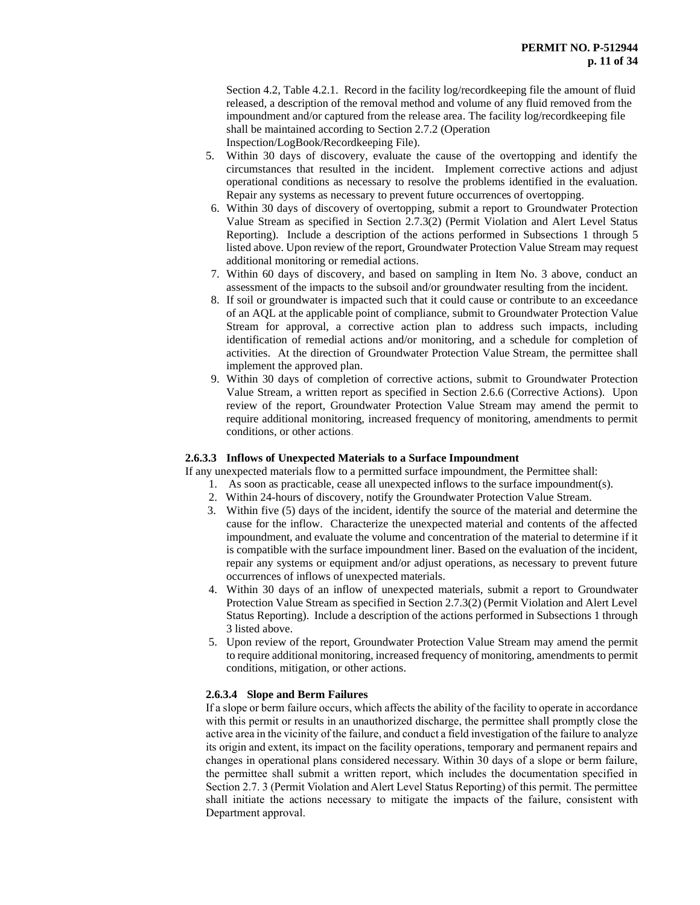Section 4.2, Table 4.2.1. Record in the facility log/recordkeeping file the amount of fluid released, a description of the removal method and volume of any fluid removed from the impoundment and/or captured from the release area. The facility log/recordkeeping file shall be maintained according to Section 2.7.2 (Operation Inspection/LogBook/Recordkeeping File).

5. Within 30 days of discovery, evaluate the cause of the overtopping and identify the circumstances that resulted in the incident. Implement corrective actions and adjust operational conditions as necessary to resolve the problems identified in the evaluation. Repair any systems as necessary to prevent future occurrences of overtopping.

- 6. Within 30 days of discovery of overtopping, submit a report to Groundwater Protection Value Stream as specified in Section 2.7.3(2) (Permit Violation and Alert Level Status Reporting). Include a description of the actions performed in Subsections 1 through 5 listed above. Upon review of the report, Groundwater Protection Value Stream may request additional monitoring or remedial actions.
- 7. Within 60 days of discovery, and based on sampling in Item No. 3 above, conduct an assessment of the impacts to the subsoil and/or groundwater resulting from the incident.
- 8. If soil or groundwater is impacted such that it could cause or contribute to an exceedance of an AQL at the applicable point of compliance, submit to Groundwater Protection Value Stream for approval, a corrective action plan to address such impacts, including identification of remedial actions and/or monitoring, and a schedule for completion of activities. At the direction of Groundwater Protection Value Stream, the permittee shall implement the approved plan.
- 9. Within 30 days of completion of corrective actions, submit to Groundwater Protection Value Stream, a written report as specified in Section 2.6.6 (Corrective Actions). Upon review of the report, Groundwater Protection Value Stream may amend the permit to require additional monitoring, increased frequency of monitoring, amendments to permit conditions, or other actions.

## **2.6.3.3 Inflows of Unexpected Materials to a Surface Impoundment**

If any unexpected materials flow to a permitted surface impoundment, the Permittee shall:

- 1. As soon as practicable, cease all unexpected inflows to the surface impoundment(s).
- 2. Within 24-hours of discovery, notify the Groundwater Protection Value Stream.
- 3. Within five (5) days of the incident, identify the source of the material and determine the cause for the inflow. Characterize the unexpected material and contents of the affected impoundment, and evaluate the volume and concentration of the material to determine if it is compatible with the surface impoundment liner. Based on the evaluation of the incident, repair any systems or equipment and/or adjust operations, as necessary to prevent future occurrences of inflows of unexpected materials.
- 4. Within 30 days of an inflow of unexpected materials, submit a report to Groundwater Protection Value Stream as specified in Section 2.7.3(2) (Permit Violation and Alert Level Status Reporting). Include a description of the actions performed in Subsections 1 through 3 listed above.
- 5. Upon review of the report, Groundwater Protection Value Stream may amend the permit to require additional monitoring, increased frequency of monitoring, amendments to permit conditions, mitigation, or other actions.

# **2.6.3.4 Slope and Berm Failures**

If a slope or berm failure occurs, which affects the ability of the facility to operate in accordance with this permit or results in an unauthorized discharge, the permittee shall promptly close the active area in the vicinity of the failure, and conduct a field investigation of the failure to analyze its origin and extent, its impact on the facility operations, temporary and permanent repairs and changes in operational plans considered necessary. Within 30 days of a slope or berm failure, the permittee shall submit a written report, which includes the documentation specified in Section 2.7. 3 (Permit Violation and Alert Level Status Reporting) of this permit. The permittee shall initiate the actions necessary to mitigate the impacts of the failure, consistent with Department approval.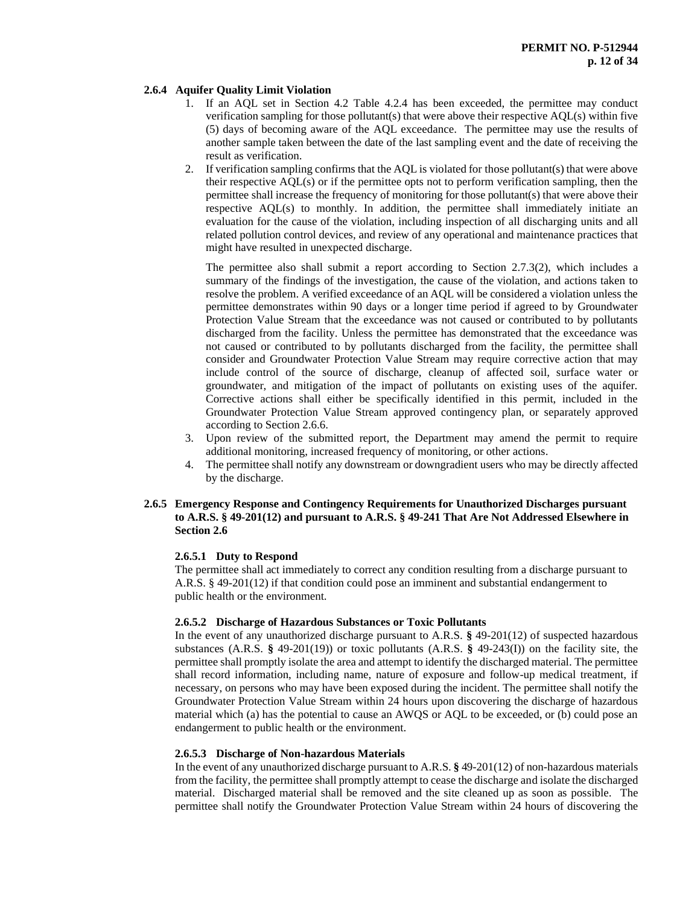## **2.6.4 Aquifer Quality Limit Violation**

- 1. If an AQL set in Section 4.2 Table 4.2.4 has been exceeded, the permittee may conduct verification sampling for those pollutant(s) that were above their respective AQL(s) within five (5) days of becoming aware of the AQL exceedance. The permittee may use the results of another sample taken between the date of the last sampling event and the date of receiving the result as verification.
- 2. If verification sampling confirms that the AQL is violated for those pollutant(s) that were above their respective AQL(s) or if the permittee opts not to perform verification sampling, then the permittee shall increase the frequency of monitoring for those pollutant(s) that were above their respective AQL(s) to monthly. In addition, the permittee shall immediately initiate an evaluation for the cause of the violation, including inspection of all discharging units and all related pollution control devices, and review of any operational and maintenance practices that might have resulted in unexpected discharge.

The permittee also shall submit a report according to Section 2.7.3(2), which includes a summary of the findings of the investigation, the cause of the violation, and actions taken to resolve the problem. A verified exceedance of an AQL will be considered a violation unless the permittee demonstrates within 90 days or a longer time period if agreed to by Groundwater Protection Value Stream that the exceedance was not caused or contributed to by pollutants discharged from the facility. Unless the permittee has demonstrated that the exceedance was not caused or contributed to by pollutants discharged from the facility, the permittee shall consider and Groundwater Protection Value Stream may require corrective action that may include control of the source of discharge, cleanup of affected soil, surface water or groundwater, and mitigation of the impact of pollutants on existing uses of the aquifer. Corrective actions shall either be specifically identified in this permit, included in the Groundwater Protection Value Stream approved contingency plan, or separately approved according to Section 2.6.6.

- 3. Upon review of the submitted report, the Department may amend the permit to require additional monitoring, increased frequency of monitoring, or other actions.
- 4. The permittee shall notify any downstream or downgradient users who may be directly affected by the discharge.

## **2.6.5 Emergency Response and Contingency Requirements for Unauthorized Discharges pursuant to A.R.S. § 49-201(12) and pursuant to A.R.S. § 49-241 That Are Not Addressed Elsewhere in Section 2.6**

## **2.6.5.1 Duty to Respond**

The permittee shall act immediately to correct any condition resulting from a discharge pursuant to A.R.S. § 49-201(12) if that condition could pose an imminent and substantial endangerment to public health or the environment.

## **2.6.5.2 Discharge of Hazardous Substances or Toxic Pollutants**

In the event of any unauthorized discharge pursuant to A.R.S. **§** 49-201(12) of suspected hazardous substances (A.R.S. **§** 49-201(19)) or toxic pollutants (A.R.S. **§** 49-243(I)) on the facility site, the permittee shall promptly isolate the area and attempt to identify the discharged material. The permittee shall record information, including name, nature of exposure and follow-up medical treatment, if necessary, on persons who may have been exposed during the incident. The permittee shall notify the Groundwater Protection Value Stream within 24 hours upon discovering the discharge of hazardous material which (a) has the potential to cause an AWQS or AQL to be exceeded, or (b) could pose an endangerment to public health or the environment.

#### **2.6.5.3 Discharge of Non-hazardous Materials**

In the event of any unauthorized discharge pursuant to A.R.S. **§** 49-201(12) of non-hazardous materials from the facility, the permittee shall promptly attempt to cease the discharge and isolate the discharged material. Discharged material shall be removed and the site cleaned up as soon as possible. The permittee shall notify the Groundwater Protection Value Stream within 24 hours of discovering the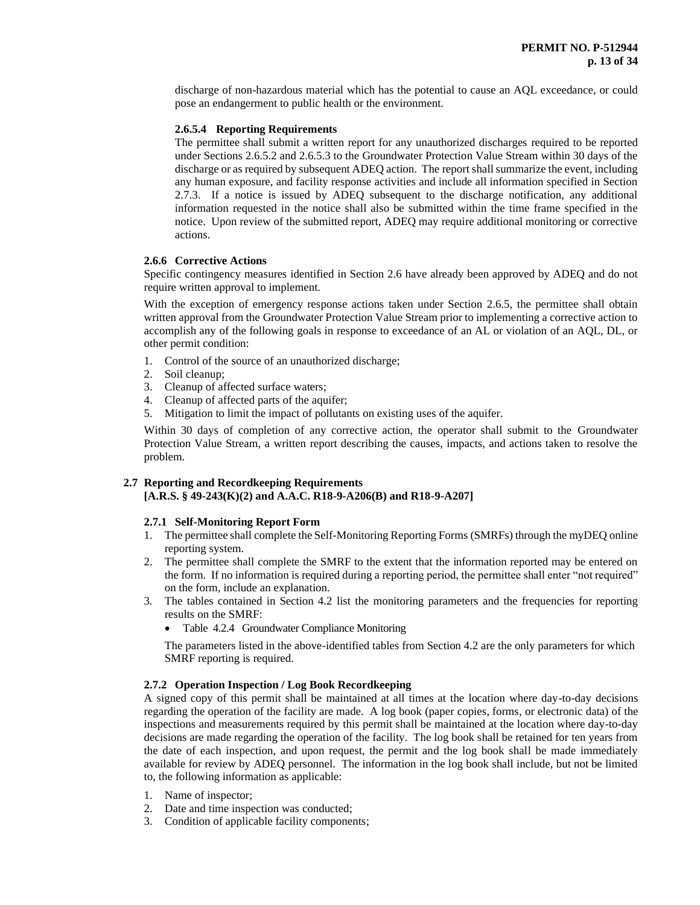discharge of non-hazardous material which has the potential to cause an AQL exceedance, or could pose an endangerment to public health or the environment.

## **2.6.5.4 Reporting Requirements**

The permittee shall submit a written report for any unauthorized discharges required to be reported under Sections 2.6.5.2 and 2.6.5.3 to the Groundwater Protection Value Stream within 30 days of the discharge or as required by subsequent ADEQ action. The report shall summarize the event, including any human exposure, and facility response activities and include all information specified in Section 2.7.3. If a notice is issued by ADEQ subsequent to the discharge notification, any additional information requested in the notice shall also be submitted within the time frame specified in the notice. Upon review of the submitted report, ADEQ may require additional monitoring or corrective actions.

## **2.6.6 Corrective Actions**

Specific contingency measures identified in Section 2.6 have already been approved by ADEQ and do not require written approval to implement.

With the exception of emergency response actions taken under Section 2.6.5, the permittee shall obtain written approval from the Groundwater Protection Value Stream prior to implementing a corrective action to accomplish any of the following goals in response to exceedance of an AL or violation of an AQL, DL, or other permit condition:

- 1. Control of the source of an unauthorized discharge;
- 2. Soil cleanup;
- 3. Cleanup of affected surface waters;
- 4. Cleanup of affected parts of the aquifer;
- 5. Mitigation to limit the impact of pollutants on existing uses of the aquifer.

Within 30 days of completion of any corrective action, the operator shall submit to the Groundwater Protection Value Stream, a written report describing the causes, impacts, and actions taken to resolve the problem.

## **2.7 Reporting and Recordkeeping Requirements**

**[A.R.S. § 49-243(K)(2) and A.A.C. R18-9-A206(B) and R18-9-A207]**

#### **2.7.1 Self-Monitoring Report Form**

- 1. The permittee shall complete the Self-Monitoring Reporting Forms (SMRFs) through the myDEQ online reporting system.
- 2. The permittee shall complete the SMRF to the extent that the information reported may be entered on the form. If no information is required during a reporting period, the permittee shall enter "not required" on the form, include an explanation.
- 3. The tables contained in Section 4.2 list the monitoring parameters and the frequencies for reporting results on the SMRF:
	- Table 4.2.4 Groundwater Compliance Monitoring

The parameters listed in the above-identified tables from Section 4.2 are the only parameters for which SMRF reporting is required.

# **2.7.2 Operation Inspection / Log Book Recordkeeping**

A signed copy of this permit shall be maintained at all times at the location where day-to-day decisions regarding the operation of the facility are made. A log book (paper copies, forms, or electronic data) of the inspections and measurements required by this permit shall be maintained at the location where day-to-day decisions are made regarding the operation of the facility. The log book shall be retained for ten years from the date of each inspection, and upon request, the permit and the log book shall be made immediately available for review by ADEQ personnel. The information in the log book shall include, but not be limited to, the following information as applicable:

- 1. Name of inspector;
- 2. Date and time inspection was conducted;
- 3. Condition of applicable facility components;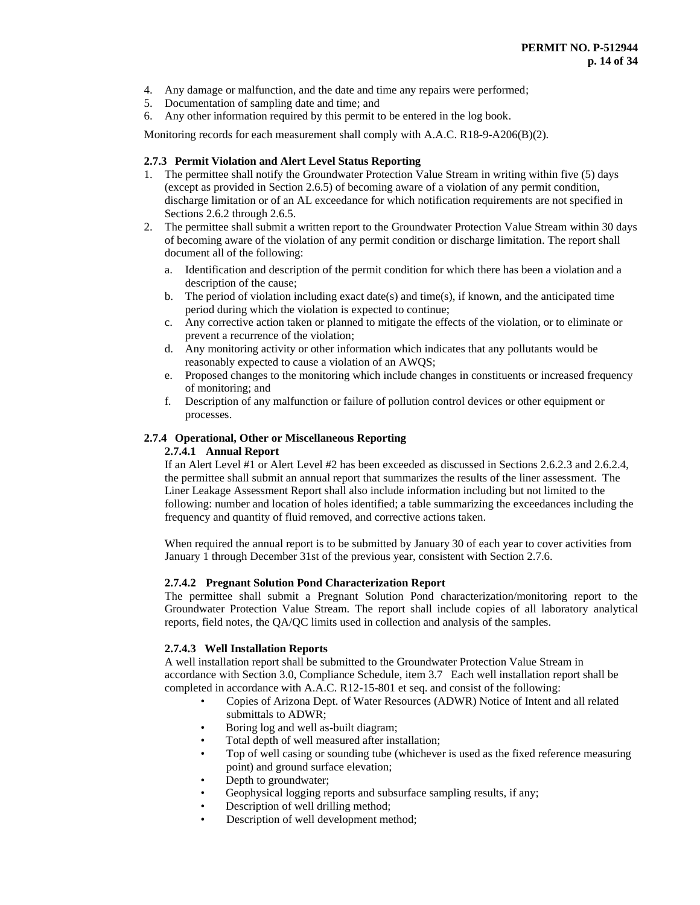- 4. Any damage or malfunction, and the date and time any repairs were performed;
- 5. Documentation of sampling date and time; and
- 6. Any other information required by this permit to be entered in the log book.

Monitoring records for each measurement shall comply with A.A.C. R18-9-A206(B)(2).

# **2.7.3 Permit Violation and Alert Level Status Reporting**

- 1. The permittee shall notify the Groundwater Protection Value Stream in writing within five (5) days (except as provided in Section 2.6.5) of becoming aware of a violation of any permit condition, discharge limitation or of an AL exceedance for which notification requirements are not specified in Sections 2.6.2 through 2.6.5.
- 2. The permittee shall submit a written report to the Groundwater Protection Value Stream within 30 days of becoming aware of the violation of any permit condition or discharge limitation. The report shall document all of the following:
	- a. Identification and description of the permit condition for which there has been a violation and a description of the cause;
	- b. The period of violation including exact date(s) and time(s), if known, and the anticipated time period during which the violation is expected to continue;
	- c. Any corrective action taken or planned to mitigate the effects of the violation, or to eliminate or prevent a recurrence of the violation;
	- d. Any monitoring activity or other information which indicates that any pollutants would be reasonably expected to cause a violation of an AWQS;
	- e. Proposed changes to the monitoring which include changes in constituents or increased frequency of monitoring; and
	- f. Description of any malfunction or failure of pollution control devices or other equipment or processes.

## **2.7.4 Operational, Other or Miscellaneous Reporting**

## **2.7.4.1 Annual Report**

If an Alert Level #1 or Alert Level #2 has been exceeded as discussed in Sections 2.6.2.3 and 2.6.2.4, the permittee shall submit an annual report that summarizes the results of the liner assessment. The Liner Leakage Assessment Report shall also include information including but not limited to the following: number and location of holes identified; a table summarizing the exceedances including the frequency and quantity of fluid removed, and corrective actions taken.

When required the annual report is to be submitted by January 30 of each year to cover activities from January 1 through December 31st of the previous year, consistent with Section 2.7.6.

## **2.7.4.2 Pregnant Solution Pond Characterization Report**

The permittee shall submit a Pregnant Solution Pond characterization/monitoring report to the Groundwater Protection Value Stream. The report shall include copies of all laboratory analytical reports, field notes, the QA/QC limits used in collection and analysis of the samples.

# **2.7.4.3 Well Installation Reports**

A well installation report shall be submitted to the Groundwater Protection Value Stream in accordance with Section 3.0, Compliance Schedule, item 3.7 Each well installation report shall be completed in accordance with A.A.C. R12-15-801 et seq. and consist of the following:

- Copies of Arizona Dept. of Water Resources (ADWR) Notice of Intent and all related submittals to ADWR;
- Boring log and well as-built diagram;
- Total depth of well measured after installation;
- Top of well casing or sounding tube (whichever is used as the fixed reference measuring point) and ground surface elevation;
- Depth to groundwater;
- Geophysical logging reports and subsurface sampling results, if any;
- Description of well drilling method;
- Description of well development method;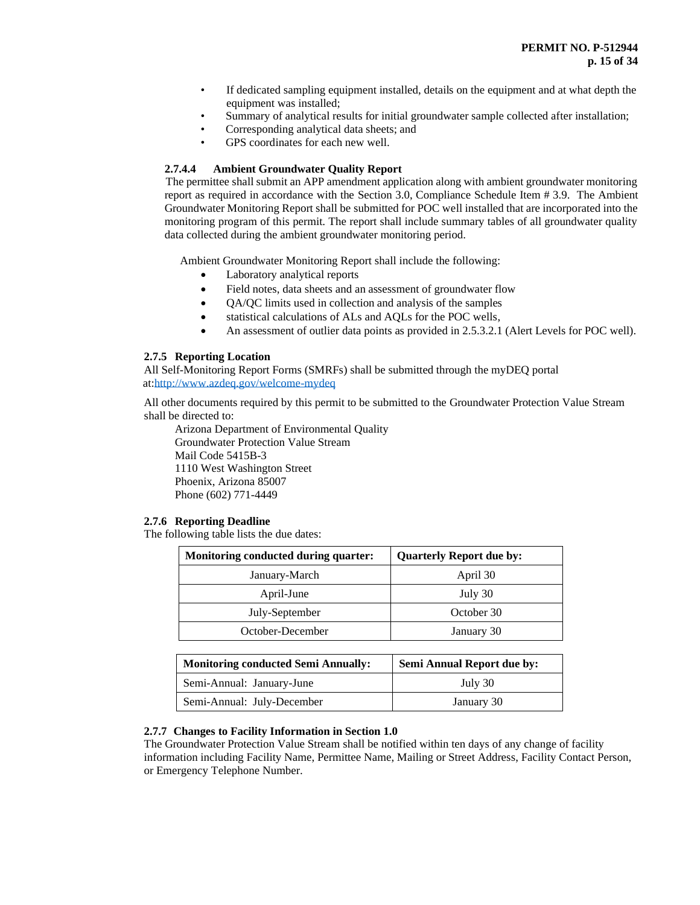- If dedicated sampling equipment installed, details on the equipment and at what depth the equipment was installed;
- Summary of analytical results for initial groundwater sample collected after installation;
	- Corresponding analytical data sheets; and
- GPS coordinates for each new well.

# **2.7.4.4 Ambient Groundwater Quality Report**

 The permittee shall submit an APP amendment application along with ambient groundwater monitoring report as required in accordance with the Section 3.0, Compliance Schedule Item # 3.9. The Ambient Groundwater Monitoring Report shall be submitted for POC well installed that are incorporated into the monitoring program of this permit. The report shall include summary tables of all groundwater quality data collected during the ambient groundwater monitoring period.

Ambient Groundwater Monitoring Report shall include the following:

- Laboratory analytical reports
- Field notes, data sheets and an assessment of groundwater flow
- QA/QC limits used in collection and analysis of the samples
- statistical calculations of ALs and AQLs for the POC wells,
- An assessment of outlier data points as provided in 2.5.3.2.1 (Alert Levels for POC well).

## **2.7.5 Reporting Location**

All Self-Monitoring Report Forms (SMRFs) shall be submitted through the myDEQ portal at[:http://www.azdeq.gov/welcome-mydeq](http://www.azdeq.gov/welcome-mydeq)

All other documents required by this permit to be submitted to the Groundwater Protection Value Stream shall be directed to:

Arizona Department of Environmental Quality Groundwater Protection Value Stream Mail Code 5415B-3 1110 West Washington Street Phoenix, Arizona 85007 Phone (602) 771-4449

## **2.7.6 Reporting Deadline**

The following table lists the due dates:

| Monitoring conducted during quarter: | <b>Quarterly Report due by:</b> |
|--------------------------------------|---------------------------------|
| January-March                        | April 30                        |
| April-June                           | July 30                         |
| July-September                       | October 30                      |
| October-December                     | January 30                      |

| <b>Monitoring conducted Semi Annually:</b> | <b>Semi Annual Report due by:</b> |  |
|--------------------------------------------|-----------------------------------|--|
| Semi-Annual: January-June                  | July 30                           |  |
| Semi-Annual: July-December                 | January 30                        |  |

# **2.7.7 Changes to Facility Information in Section 1.0**

The Groundwater Protection Value Stream shall be notified within ten days of any change of facility information including Facility Name, Permittee Name, Mailing or Street Address, Facility Contact Person, or Emergency Telephone Number.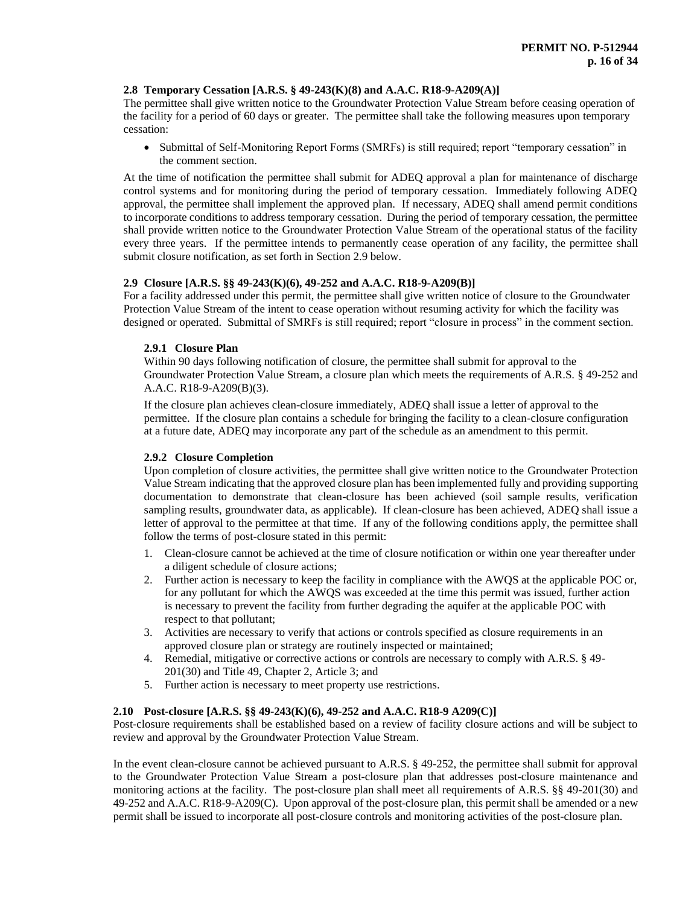## **2.8 Temporary Cessation [A.R.S. § 49-243(K)(8) and A.A.C. R18-9-A209(A)]**

The permittee shall give written notice to the Groundwater Protection Value Stream before ceasing operation of the facility for a period of 60 days or greater. The permittee shall take the following measures upon temporary cessation:

• Submittal of Self-Monitoring Report Forms (SMRFs) is still required; report "temporary cessation" in the comment section.

At the time of notification the permittee shall submit for ADEQ approval a plan for maintenance of discharge control systems and for monitoring during the period of temporary cessation. Immediately following ADEQ approval, the permittee shall implement the approved plan. If necessary, ADEQ shall amend permit conditions to incorporate conditions to address temporary cessation. During the period of temporary cessation, the permittee shall provide written notice to the Groundwater Protection Value Stream of the operational status of the facility every three years. If the permittee intends to permanently cease operation of any facility, the permittee shall submit closure notification, as set forth in Section 2.9 below.

# **2.9 Closure [A.R.S. §§ 49-243(K)(6), 49-252 and A.A.C. R18-9-A209(B)]**

For a facility addressed under this permit, the permittee shall give written notice of closure to the Groundwater Protection Value Stream of the intent to cease operation without resuming activity for which the facility was designed or operated. Submittal of SMRFs is still required; report "closure in process" in the comment section.

## **2.9.1 Closure Plan**

Within 90 days following notification of closure, the permittee shall submit for approval to the Groundwater Protection Value Stream, a closure plan which meets the requirements of A.R.S. § 49-252 and A.A.C. R18-9-A209(B)(3).

If the closure plan achieves clean-closure immediately, ADEQ shall issue a letter of approval to the permittee. If the closure plan contains a schedule for bringing the facility to a clean-closure configuration at a future date, ADEQ may incorporate any part of the schedule as an amendment to this permit.

## **2.9.2 Closure Completion**

Upon completion of closure activities, the permittee shall give written notice to the Groundwater Protection Value Stream indicating that the approved closure plan has been implemented fully and providing supporting documentation to demonstrate that clean-closure has been achieved (soil sample results, verification sampling results, groundwater data, as applicable). If clean-closure has been achieved, ADEQ shall issue a letter of approval to the permittee at that time. If any of the following conditions apply, the permittee shall follow the terms of post-closure stated in this permit:

- 1. Clean-closure cannot be achieved at the time of closure notification or within one year thereafter under a diligent schedule of closure actions;
- 2. Further action is necessary to keep the facility in compliance with the AWQS at the applicable POC or, for any pollutant for which the AWQS was exceeded at the time this permit was issued, further action is necessary to prevent the facility from further degrading the aquifer at the applicable POC with respect to that pollutant;
- 3. Activities are necessary to verify that actions or controls specified as closure requirements in an approved closure plan or strategy are routinely inspected or maintained;
- 4. Remedial, mitigative or corrective actions or controls are necessary to comply with A.R.S. § 49- 201(30) and Title 49, Chapter 2, Article 3; and
- 5. Further action is necessary to meet property use restrictions.

## **2.10 Post-closure [A.R.S. §§ 49-243(K)(6), 49-252 and A.A.C. R18-9 A209(C)]**

Post-closure requirements shall be established based on a review of facility closure actions and will be subject to review and approval by the Groundwater Protection Value Stream.

In the event clean-closure cannot be achieved pursuant to A.R.S. § 49-252, the permittee shall submit for approval to the Groundwater Protection Value Stream a post-closure plan that addresses post-closure maintenance and monitoring actions at the facility. The post-closure plan shall meet all requirements of A.R.S. §§ 49-201(30) and 49-252 and A.A.C. R18-9-A209(C). Upon approval of the post-closure plan, this permit shall be amended or a new permit shall be issued to incorporate all post-closure controls and monitoring activities of the post-closure plan.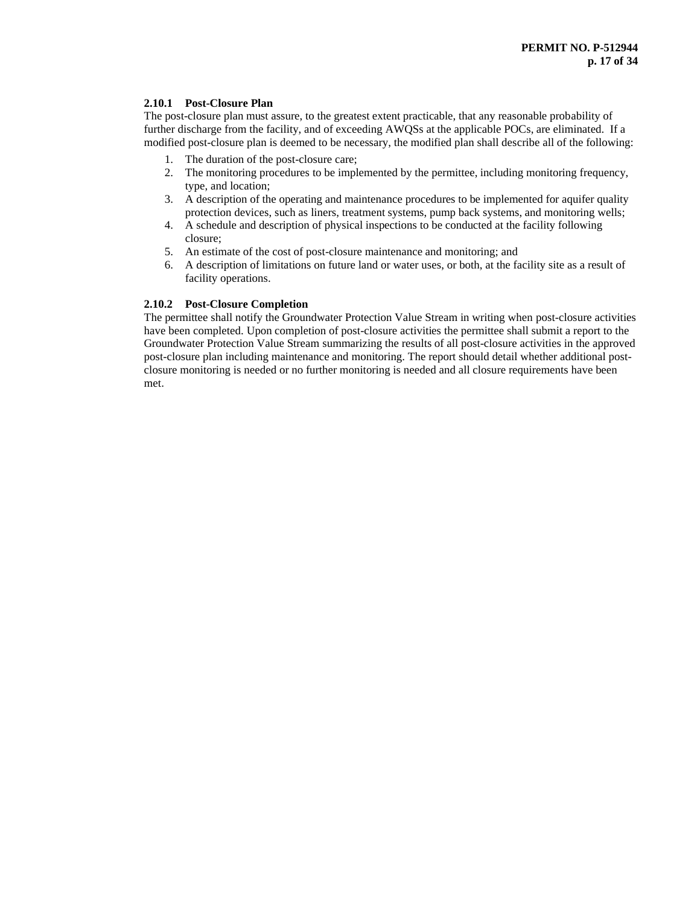## **2.10.1 Post-Closure Plan**

The post-closure plan must assure, to the greatest extent practicable, that any reasonable probability of further discharge from the facility, and of exceeding AWQSs at the applicable POCs, are eliminated. If a modified post-closure plan is deemed to be necessary, the modified plan shall describe all of the following:

- 1. The duration of the post-closure care;
- 2. The monitoring procedures to be implemented by the permittee, including monitoring frequency, type, and location;
- 3. A description of the operating and maintenance procedures to be implemented for aquifer quality protection devices, such as liners, treatment systems, pump back systems, and monitoring wells;
- 4. A schedule and description of physical inspections to be conducted at the facility following closure;
- 5. An estimate of the cost of post-closure maintenance and monitoring; and
- 6. A description of limitations on future land or water uses, or both, at the facility site as a result of facility operations.

## **2.10.2 Post-Closure Completion**

The permittee shall notify the Groundwater Protection Value Stream in writing when post-closure activities have been completed. Upon completion of post-closure activities the permittee shall submit a report to the Groundwater Protection Value Stream summarizing the results of all post-closure activities in the approved post-closure plan including maintenance and monitoring. The report should detail whether additional postclosure monitoring is needed or no further monitoring is needed and all closure requirements have been met.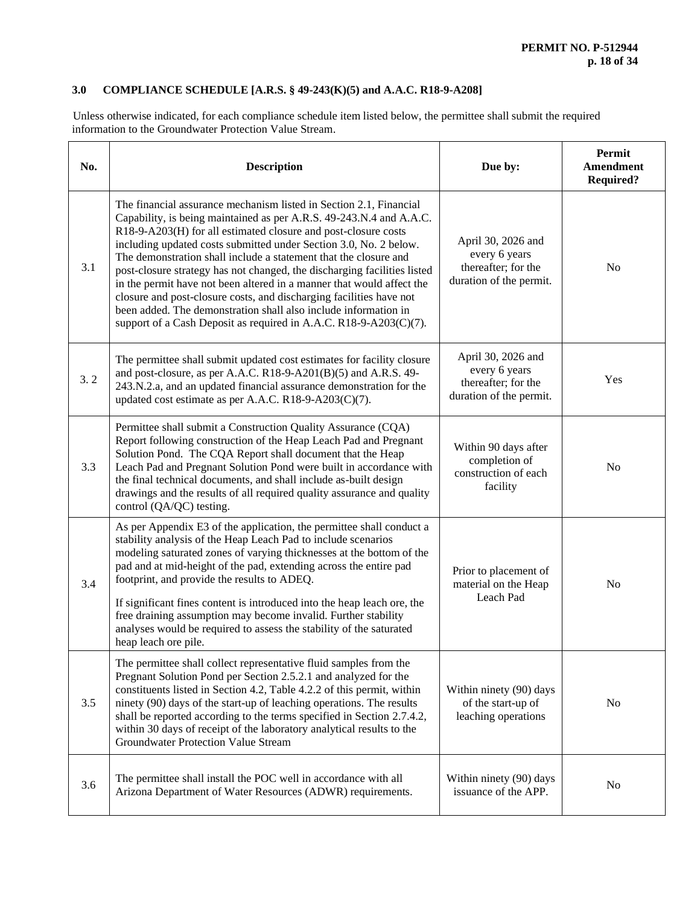# **3.0 COMPLIANCE SCHEDULE [A.R.S. § 49-243(K)(5) and A.A.C. R18-9-A208]**

Unless otherwise indicated, for each compliance schedule item listed below, the permittee shall submit the required information to the Groundwater Protection Value Stream.

| No. | <b>Description</b>                                                                                                                                                                                                                                                                                                                                                                                                                                                                                                                                                                                                                                                                                                       | Due by:                                                                               | Permit<br><b>Amendment</b><br><b>Required?</b> |
|-----|--------------------------------------------------------------------------------------------------------------------------------------------------------------------------------------------------------------------------------------------------------------------------------------------------------------------------------------------------------------------------------------------------------------------------------------------------------------------------------------------------------------------------------------------------------------------------------------------------------------------------------------------------------------------------------------------------------------------------|---------------------------------------------------------------------------------------|------------------------------------------------|
| 3.1 | The financial assurance mechanism listed in Section 2.1, Financial<br>Capability, is being maintained as per A.R.S. 49-243.N.4 and A.A.C.<br>R18-9-A203(H) for all estimated closure and post-closure costs<br>including updated costs submitted under Section 3.0, No. 2 below.<br>The demonstration shall include a statement that the closure and<br>post-closure strategy has not changed, the discharging facilities listed<br>in the permit have not been altered in a manner that would affect the<br>closure and post-closure costs, and discharging facilities have not<br>been added. The demonstration shall also include information in<br>support of a Cash Deposit as required in A.A.C. R18-9-A203(C)(7). | April 30, 2026 and<br>every 6 years<br>thereafter; for the<br>duration of the permit. | N <sub>o</sub>                                 |
| 3.2 | The permittee shall submit updated cost estimates for facility closure<br>and post-closure, as per A.A.C. R18-9-A201(B)(5) and A.R.S. 49-<br>243.N.2.a, and an updated financial assurance demonstration for the<br>updated cost estimate as per A.A.C. R18-9-A203(C)(7).                                                                                                                                                                                                                                                                                                                                                                                                                                                | April 30, 2026 and<br>every 6 years<br>thereafter; for the<br>duration of the permit. | Yes                                            |
| 3.3 | Permittee shall submit a Construction Quality Assurance (CQA)<br>Report following construction of the Heap Leach Pad and Pregnant<br>Solution Pond. The CQA Report shall document that the Heap<br>Leach Pad and Pregnant Solution Pond were built in accordance with<br>the final technical documents, and shall include as-built design<br>drawings and the results of all required quality assurance and quality<br>control (QA/QC) testing.                                                                                                                                                                                                                                                                          | Within 90 days after<br>completion of<br>construction of each<br>facility             | N <sub>0</sub>                                 |
| 3.4 | As per Appendix E3 of the application, the permittee shall conduct a<br>stability analysis of the Heap Leach Pad to include scenarios<br>modeling saturated zones of varying thicknesses at the bottom of the<br>pad and at mid-height of the pad, extending across the entire pad<br>footprint, and provide the results to ADEQ.<br>If significant fines content is introduced into the heap leach ore, the<br>free draining assumption may become invalid. Further stability<br>analyses would be required to assess the stability of the saturated<br>heap leach ore pile.                                                                                                                                            | Prior to placement of<br>material on the Heap<br>Leach Pad                            | N <sub>o</sub>                                 |
| 3.5 | The permittee shall collect representative fluid samples from the<br>Pregnant Solution Pond per Section 2.5.2.1 and analyzed for the<br>constituents listed in Section 4.2, Table 4.2.2 of this permit, within<br>ninety (90) days of the start-up of leaching operations. The results<br>shall be reported according to the terms specified in Section 2.7.4.2,<br>within 30 days of receipt of the laboratory analytical results to the<br><b>Groundwater Protection Value Stream</b>                                                                                                                                                                                                                                  | Within ninety (90) days<br>of the start-up of<br>leaching operations                  | N <sub>o</sub>                                 |
| 3.6 | The permittee shall install the POC well in accordance with all<br>Arizona Department of Water Resources (ADWR) requirements.                                                                                                                                                                                                                                                                                                                                                                                                                                                                                                                                                                                            | Within ninety (90) days<br>issuance of the APP.                                       | N <sub>o</sub>                                 |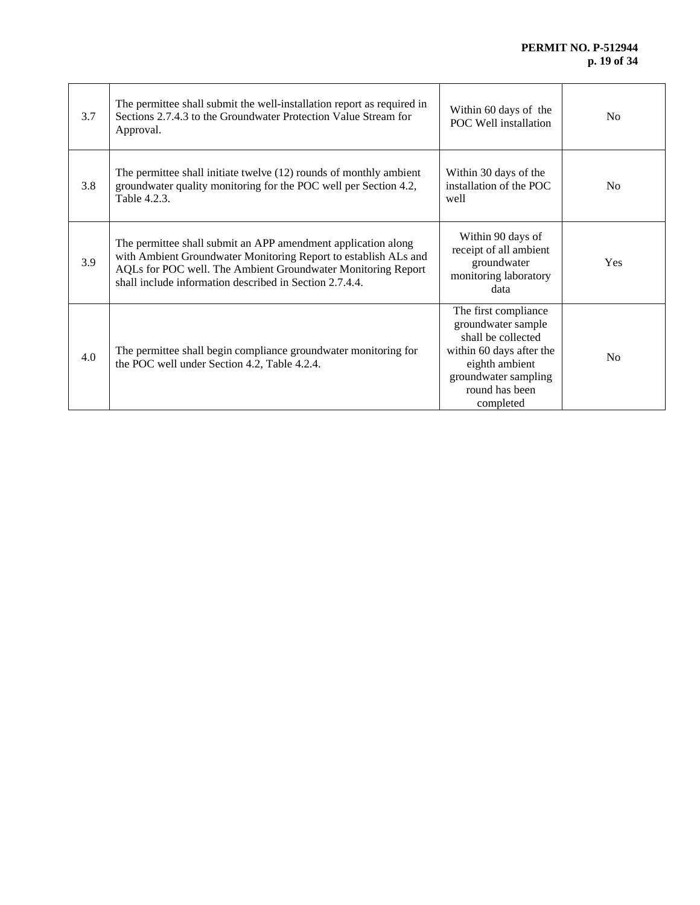| 3.7 | The permittee shall submit the well-installation report as required in<br>Sections 2.7.4.3 to the Groundwater Protection Value Stream for<br>Approval.                                                                                                      | Within 60 days of the<br>POC Well installation                                                                                                                        | N <sub>0</sub> |
|-----|-------------------------------------------------------------------------------------------------------------------------------------------------------------------------------------------------------------------------------------------------------------|-----------------------------------------------------------------------------------------------------------------------------------------------------------------------|----------------|
| 3.8 | The permittee shall initiate twelve (12) rounds of monthly ambient<br>groundwater quality monitoring for the POC well per Section 4.2,<br>Table 4.2.3.                                                                                                      | Within 30 days of the<br>installation of the POC<br>well                                                                                                              | N <sub>0</sub> |
| 3.9 | The permittee shall submit an APP amendment application along<br>with Ambient Groundwater Monitoring Report to establish ALs and<br>AQLs for POC well. The Ambient Groundwater Monitoring Report<br>shall include information described in Section 2.7.4.4. | Within 90 days of<br>receipt of all ambient<br>groundwater<br>monitoring laboratory<br>data                                                                           | <b>Yes</b>     |
| 4.0 | The permittee shall begin compliance groundwater monitoring for<br>the POC well under Section 4.2, Table 4.2.4.                                                                                                                                             | The first compliance<br>groundwater sample<br>shall be collected<br>within 60 days after the<br>eighth ambient<br>groundwater sampling<br>round has been<br>completed | N <sub>0</sub> |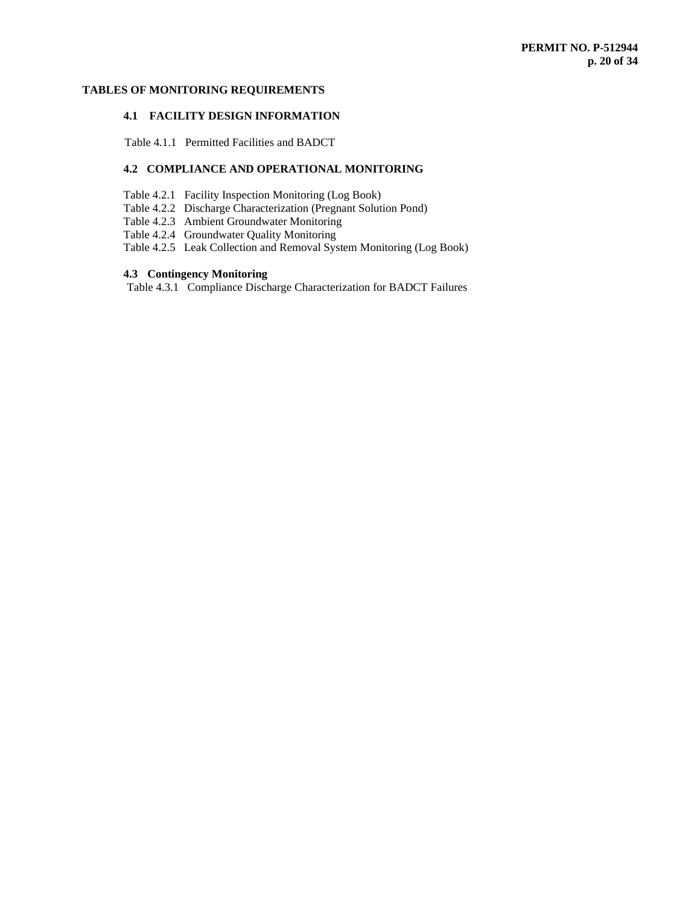# **TABLES OF MONITORING REQUIREMENTS**

# **4.1 FACILITY DESIGN INFORMATION**

Table 4.1.1 Permitted Facilities and BADCT

# **4.2 COMPLIANCE AND OPERATIONAL MONITORING**

- Table 4.2.1 Facility Inspection Monitoring (Log Book)
- Table 4.2.2 Discharge Characterization (Pregnant Solution Pond)
- Table 4.2.3 Ambient Groundwater Monitoring
- Table 4.2.4 Groundwater Quality Monitoring
- Table 4.2.5 Leak Collection and Removal System Monitoring (Log Book)

## **4.3 Contingency Monitoring**

Table 4.3.1 Compliance Discharge Characterization for BADCT Failures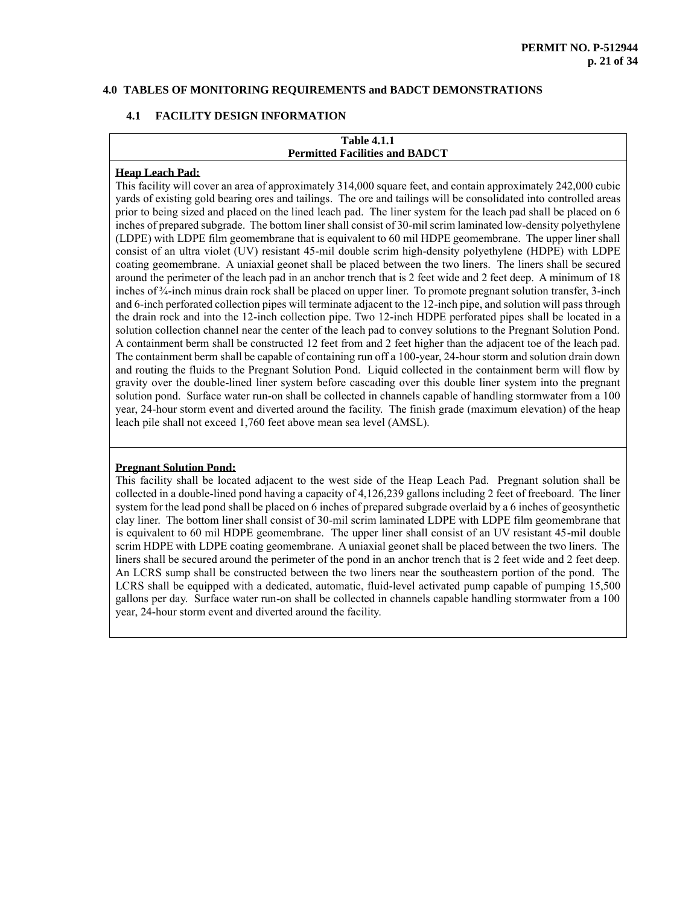## **4.0 TABLES OF MONITORING REQUIREMENTS and BADCT DEMONSTRATIONS**

## **4.1 FACILITY DESIGN INFORMATION**

# **Table 4.1.1 Permitted Facilities and BADCT**

#### **Heap Leach Pad:**

This facility will cover an area of approximately 314,000 square feet, and contain approximately 242,000 cubic yards of existing gold bearing ores and tailings. The ore and tailings will be consolidated into controlled areas prior to being sized and placed on the lined leach pad. The liner system for the leach pad shall be placed on 6 inches of prepared subgrade. The bottom liner shall consist of 30-mil scrim laminated low-density polyethylene (LDPE) with LDPE film geomembrane that is equivalent to 60 mil HDPE geomembrane. The upper liner shall consist of an ultra violet (UV) resistant 45-mil double scrim high-density polyethylene (HDPE) with LDPE coating geomembrane. A uniaxial geonet shall be placed between the two liners. The liners shall be secured around the perimeter of the leach pad in an anchor trench that is 2 feet wide and 2 feet deep. A minimum of 18 inches of ¾-inch minus drain rock shall be placed on upper liner. To promote pregnant solution transfer, 3-inch and 6-inch perforated collection pipes will terminate adjacent to the 12-inch pipe, and solution will pass through the drain rock and into the 12-inch collection pipe. Two 12-inch HDPE perforated pipes shall be located in a solution collection channel near the center of the leach pad to convey solutions to the Pregnant Solution Pond. A containment berm shall be constructed 12 feet from and 2 feet higher than the adjacent toe of the leach pad. The containment berm shall be capable of containing run off a 100-year, 24-hour storm and solution drain down and routing the fluids to the Pregnant Solution Pond. Liquid collected in the containment berm will flow by gravity over the double-lined liner system before cascading over this double liner system into the pregnant solution pond. Surface water run-on shall be collected in channels capable of handling stormwater from a 100 year, 24-hour storm event and diverted around the facility. The finish grade (maximum elevation) of the heap leach pile shall not exceed 1,760 feet above mean sea level (AMSL).

#### **Pregnant Solution Pond:**

This facility shall be located adjacent to the west side of the Heap Leach Pad. Pregnant solution shall be collected in a double-lined pond having a capacity of 4,126,239 gallons including 2 feet of freeboard. The liner system for the lead pond shall be placed on 6 inches of prepared subgrade overlaid by a 6 inches of geosynthetic clay liner. The bottom liner shall consist of 30-mil scrim laminated LDPE with LDPE film geomembrane that is equivalent to 60 mil HDPE geomembrane. The upper liner shall consist of an UV resistant 45-mil double scrim HDPE with LDPE coating geomembrane. A uniaxial geonet shall be placed between the two liners. The liners shall be secured around the perimeter of the pond in an anchor trench that is 2 feet wide and 2 feet deep. An LCRS sump shall be constructed between the two liners near the southeastern portion of the pond. The LCRS shall be equipped with a dedicated, automatic, fluid-level activated pump capable of pumping 15,500 gallons per day. Surface water run-on shall be collected in channels capable handling stormwater from a 100 year, 24-hour storm event and diverted around the facility.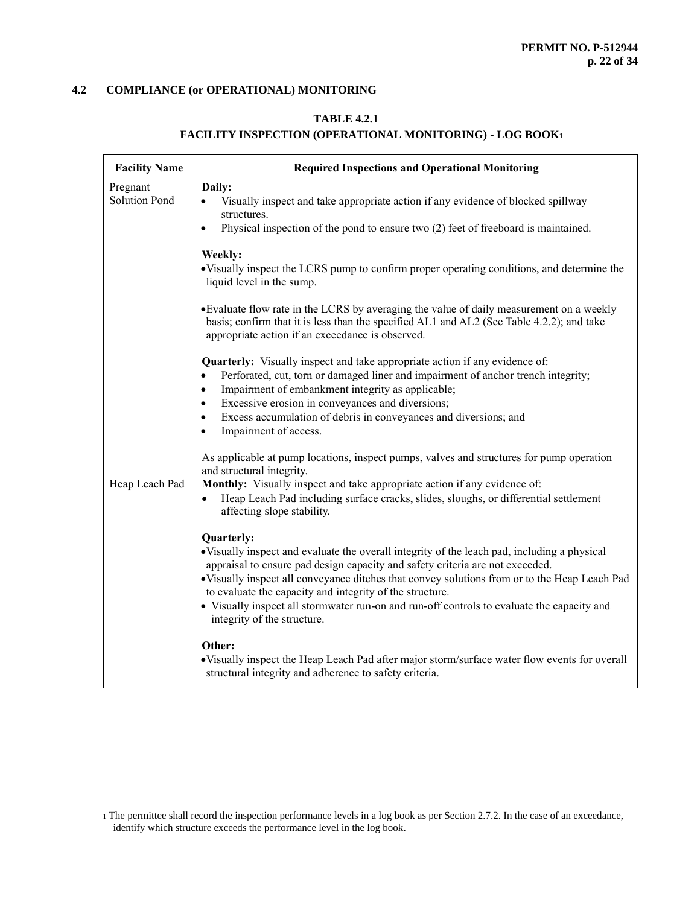# **TABLE 4.2.1**

# **FACILITY INSPECTION (OPERATIONAL MONITORING) - LOG BOOK<sup>1</sup>**

| <b>Facility Name</b> | <b>Required Inspections and Operational Monitoring</b>                                                                                                                                                                                    |  |  |
|----------------------|-------------------------------------------------------------------------------------------------------------------------------------------------------------------------------------------------------------------------------------------|--|--|
| Pregnant             | Daily:                                                                                                                                                                                                                                    |  |  |
| <b>Solution Pond</b> | Visually inspect and take appropriate action if any evidence of blocked spillway<br>$\bullet$<br>structures.                                                                                                                              |  |  |
|                      | Physical inspection of the pond to ensure two (2) feet of freeboard is maintained.<br>$\bullet$                                                                                                                                           |  |  |
|                      | Weekly:<br>• Visually inspect the LCRS pump to confirm proper operating conditions, and determine the<br>liquid level in the sump.                                                                                                        |  |  |
|                      | • Evaluate flow rate in the LCRS by averaging the value of daily measurement on a weekly<br>basis; confirm that it is less than the specified AL1 and AL2 (See Table 4.2.2); and take<br>appropriate action if an exceedance is observed. |  |  |
|                      | <b>Quarterly:</b> Visually inspect and take appropriate action if any evidence of:<br>Perforated, cut, torn or damaged liner and impairment of anchor trench integrity;<br>$\bullet$                                                      |  |  |
|                      | Impairment of embankment integrity as applicable;<br>$\bullet$                                                                                                                                                                            |  |  |
|                      | Excessive erosion in conveyances and diversions;<br>$\bullet$                                                                                                                                                                             |  |  |
|                      | Excess accumulation of debris in conveyances and diversions; and<br>$\bullet$<br>Impairment of access.<br>$\bullet$                                                                                                                       |  |  |
|                      | As applicable at pump locations, inspect pumps, valves and structures for pump operation<br>and structural integrity.                                                                                                                     |  |  |
| Heap Leach Pad       | Monthly: Visually inspect and take appropriate action if any evidence of:                                                                                                                                                                 |  |  |
|                      | Heap Leach Pad including surface cracks, slides, sloughs, or differential settlement<br>$\bullet$<br>affecting slope stability.                                                                                                           |  |  |
|                      | Quarterly:                                                                                                                                                                                                                                |  |  |
|                      | • Visually inspect and evaluate the overall integrity of the leach pad, including a physical<br>appraisal to ensure pad design capacity and safety criteria are not exceeded.                                                             |  |  |
|                      | • Visually inspect all conveyance ditches that convey solutions from or to the Heap Leach Pad                                                                                                                                             |  |  |
|                      | to evaluate the capacity and integrity of the structure.<br>• Visually inspect all stormwater run-on and run-off controls to evaluate the capacity and<br>integrity of the structure.                                                     |  |  |
|                      | Other:                                                                                                                                                                                                                                    |  |  |
|                      | • Visually inspect the Heap Leach Pad after major storm/surface water flow events for overall<br>structural integrity and adherence to safety criteria.                                                                                   |  |  |

<sup>1</sup> The permittee shall record the inspection performance levels in a log book as per Section 2.7.2. In the case of an exceedance, identify which structure exceeds the performance level in the log book.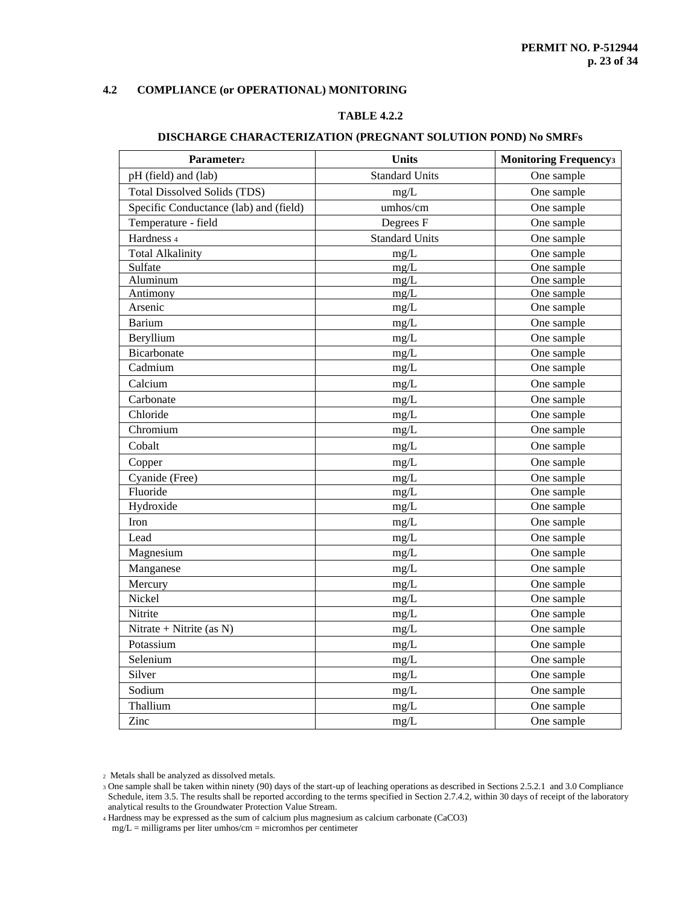# **TABLE 4.2.2**

| Parameter <sub>2</sub>                 | <b>Units</b>          | <b>Monitoring Frequencys</b> |
|----------------------------------------|-----------------------|------------------------------|
| pH (field) and (lab)                   | <b>Standard Units</b> | One sample                   |
| <b>Total Dissolved Solids (TDS)</b>    | mg/L                  | One sample                   |
| Specific Conductance (lab) and (field) | umhos/cm              | One sample                   |
| Temperature - field                    | Degrees F             | One sample                   |
| Hardness 4                             | <b>Standard Units</b> | One sample                   |
| <b>Total Alkalinity</b>                | mg/L                  | One sample                   |
| Sulfate                                | mg/L                  | One sample                   |
| Aluminum                               | mg/L                  | One sample                   |
| Antimony                               | mg/L                  | One sample                   |
| Arsenic                                | mg/L                  | One sample                   |
| <b>Barium</b>                          | mg/L                  | One sample                   |
| Beryllium                              | mg/L                  | One sample                   |
| Bicarbonate                            | mg/L                  | One sample                   |
| Cadmium                                | mg/L                  | One sample                   |
| Calcium                                | mg/L                  | One sample                   |
| Carbonate                              | mg/L                  | One sample                   |
| Chloride                               | mg/L                  | One sample                   |
| Chromium                               | mg/L                  | One sample                   |
| Cobalt                                 | mg/L                  | One sample                   |
| Copper                                 | mg/L                  | One sample                   |
| Cyanide (Free)                         | mg/L                  | One sample                   |
| Fluoride                               | mg/L                  | One sample                   |
| Hydroxide                              | mg/L                  | One sample                   |
| Iron                                   | mg/L                  | One sample                   |
| Lead                                   | mg/L                  | One sample                   |
| Magnesium                              | mg/L                  | One sample                   |
| Manganese                              | mg/L                  | One sample                   |
| Mercury                                | mg/L                  | One sample                   |
| Nickel                                 | mg/L                  | One sample                   |
| Nitrite                                | mg/L                  | One sample                   |
| Nitrate + Nitrite (as N)               | mg/L                  | One sample                   |
| Potassium                              | mg/L                  | One sample                   |
| Selenium                               | mg/L                  | One sample                   |
| Silver                                 | $mg/L$                | One sample                   |
| Sodium                                 | mg/L                  | One sample                   |
| Thallium                               | mg/L                  | One sample                   |
| Zinc                                   | mg/L                  | One sample                   |

#### **DISCHARGE CHARACTERIZATION (PREGNANT SOLUTION POND) No SMRFs**

<sup>2</sup> Metals shall be analyzed as dissolved metals.

<sup>4</sup> Hardness may be expressed as the sum of calcium plus magnesium as calcium carbonate (CaCO3)

mg/L = milligrams per liter umhos/cm = micromhos per centimeter

<sup>3</sup> One sample shall be taken within ninety (90) days of the start-up of leaching operations as described in Sections 2.5.2.1 and 3.0 Compliance Schedule, item 3.5. The results shall be reported according to the terms specified in Section 2.7.4.2, within 30 days of receipt of the laboratory analytical results to the Groundwater Protection Value Stream.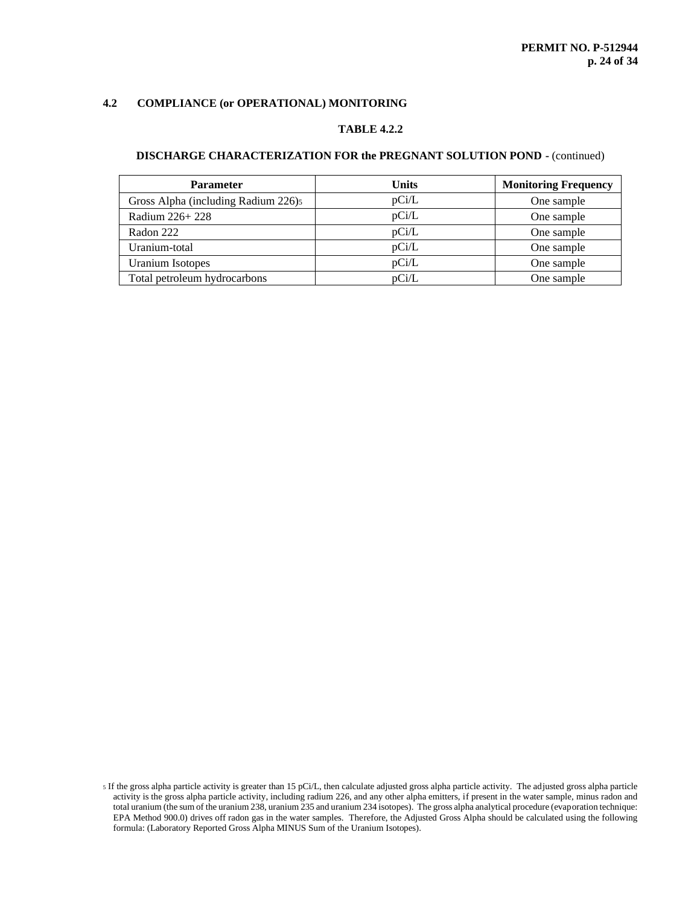# **TABLE 4.2.2**

# **DISCHARGE CHARACTERIZATION FOR the PREGNANT SOLUTION POND -** (continued)

| <b>Parameter</b>                    | Units | <b>Monitoring Frequency</b> |
|-------------------------------------|-------|-----------------------------|
| Gross Alpha (including Radium 226)5 | pCi/L | One sample                  |
| Radium 226+228                      | pCi/L | One sample                  |
| Radon 222                           | pCi/L | One sample                  |
| Uranium-total                       | pCi/L | One sample                  |
| <b>Uranium Isotopes</b>             | pCi/L | One sample                  |
| Total petroleum hydrocarbons        | pCi/L | One sample                  |

<sup>5</sup> If the gross alpha particle activity is greater than 15 pCi/L, then calculate adjusted gross alpha particle activity. The adjusted gross alpha particle activity is the gross alpha particle activity, including radium 226, and any other alpha emitters, if present in the water sample, minus radon and total uranium (the sum of the uranium 238, uranium 235 and uranium 234 isotopes). The gross alpha analytical procedure (evaporation technique: EPA Method 900.0) drives off radon gas in the water samples. Therefore, the Adjusted Gross Alpha should be calculated using the following formula: (Laboratory Reported Gross Alpha MINUS Sum of the Uranium Isotopes).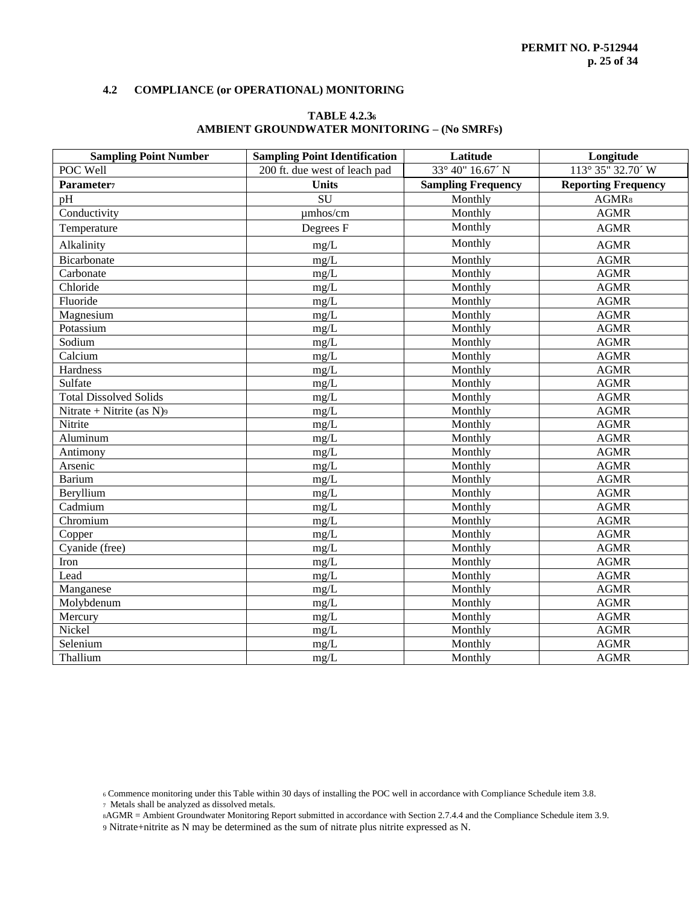# **TABLE 4.2.3<sup>6</sup> AMBIENT GROUNDWATER MONITORING – (No SMRFs)**

| <b>Sampling Point Number</b>  | <b>Sampling Point Identification</b> | Latitude                  | Longitude                  |
|-------------------------------|--------------------------------------|---------------------------|----------------------------|
| POC Well                      | 200 ft. due west of leach pad        | 33° 40" 16.67' N          | 113° 35" 32.70' W          |
| Parameter <sub>7</sub>        | <b>Units</b>                         | <b>Sampling Frequency</b> | <b>Reporting Frequency</b> |
| pH                            | SU                                   | Monthly                   | AGMR <sub>8</sub>          |
| Conductivity                  | umhos/cm                             | Monthly                   | <b>AGMR</b>                |
| Temperature                   | Degrees F                            | Monthly                   | <b>AGMR</b>                |
| Alkalinity                    | $mg/L$                               | Monthly                   | <b>AGMR</b>                |
| Bicarbonate                   | mg/L                                 | Monthly                   | <b>AGMR</b>                |
| Carbonate                     | mg/L                                 | Monthly                   | <b>AGMR</b>                |
| Chloride                      | mg/L                                 | Monthly                   | <b>AGMR</b>                |
| Fluoride                      | mg/L                                 | Monthly                   | <b>AGMR</b>                |
| Magnesium                     | mg/L                                 | Monthly                   | <b>AGMR</b>                |
| Potassium                     | mg/L                                 | Monthly                   | <b>AGMR</b>                |
| Sodium                        | mg/L                                 | Monthly                   | <b>AGMR</b>                |
| Calcium                       | mg/L                                 | Monthly                   | <b>AGMR</b>                |
| Hardness                      | mg/L                                 | Monthly                   | <b>AGMR</b>                |
| Sulfate                       | mg/L                                 | Monthly                   | <b>AGMR</b>                |
| <b>Total Dissolved Solids</b> | mg/L                                 | Monthly                   | <b>AGMR</b>                |
| Nitrate + Nitrite (as $N$ )9  | mg/L                                 | Monthly                   | <b>AGMR</b>                |
| Nitrite                       | mg/L                                 | Monthly                   | <b>AGMR</b>                |
| Aluminum                      | mg/L                                 | Monthly                   | <b>AGMR</b>                |
| Antimony                      | mg/L                                 | Monthly                   | <b>AGMR</b>                |
| Arsenic                       | mg/L                                 | Monthly                   | <b>AGMR</b>                |
| <b>Barium</b>                 | mg/L                                 | Monthly                   | <b>AGMR</b>                |
| Beryllium                     | mg/L                                 | Monthly                   | <b>AGMR</b>                |
| Cadmium                       | mg/L                                 | Monthly                   | <b>AGMR</b>                |
| Chromium                      | mg/L                                 | Monthly                   | <b>AGMR</b>                |
| Copper                        | mg/L                                 | Monthly                   | <b>AGMR</b>                |
| Cyanide (free)                | mg/L                                 | Monthly                   | <b>AGMR</b>                |
| Iron                          | mg/L                                 | Monthly                   | <b>AGMR</b>                |
| Lead                          | mg/L                                 | Monthly                   | <b>AGMR</b>                |
| Manganese                     | mg/L                                 | Monthly                   | <b>AGMR</b>                |
| Molybdenum                    | mg/L                                 | Monthly                   | <b>AGMR</b>                |
| Mercury                       | mg/L                                 | Monthly                   | <b>AGMR</b>                |
| Nickel                        | mg/L                                 | Monthly                   | <b>AGMR</b>                |
| Selenium                      | mg/L                                 | Monthly                   | <b>AGMR</b>                |
| Thallium                      | mg/L                                 | Monthly                   | <b>AGMR</b>                |

- <sup>7</sup> Metals shall be analyzed as dissolved metals.
- <sup>8</sup>AGMR = Ambient Groundwater Monitoring Report submitted in accordance with Section 2.7.4.4 and the Compliance Schedule item 3.9.

<sup>6</sup> Commence monitoring under this Table within 30 days of installing the POC well in accordance with Compliance Schedule item 3.8.

<sup>9</sup> Nitrate+nitrite as N may be determined as the sum of nitrate plus nitrite expressed as N.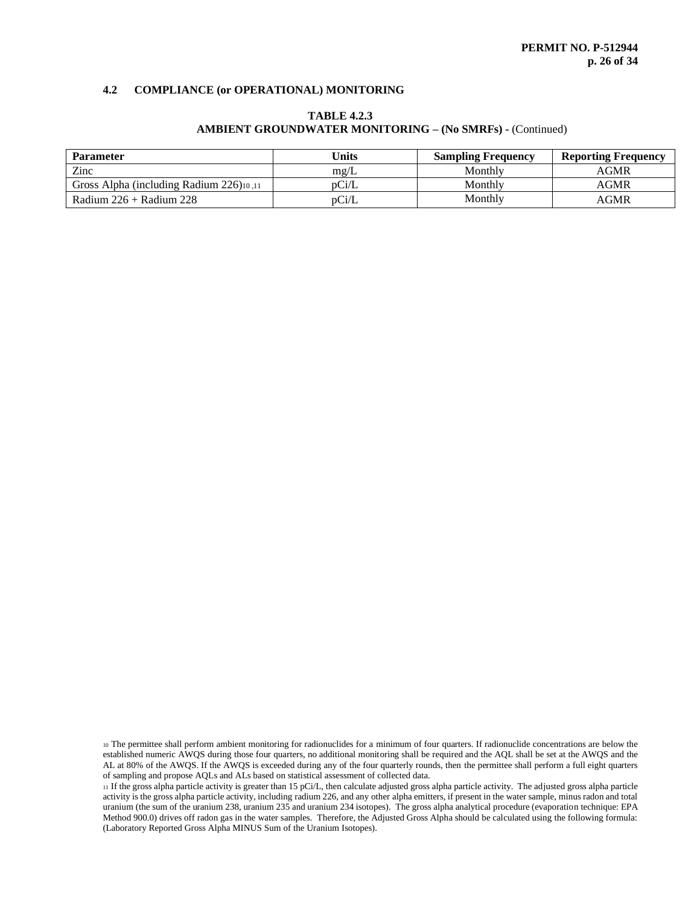| <b>Parameter</b>                        | <b>Units</b>  | <b>Sampling Frequency</b> | <b>Reporting Frequency</b> |
|-----------------------------------------|---------------|---------------------------|----------------------------|
| Zinc                                    | $m\text{g/L}$ | Monthly                   | AGMR                       |
| Gross Alpha (including Radium 226)10.11 | $\rm{D}$      | Monthly                   | AGMR                       |
| Radium $226 +$ Radium 228               | $\rm{D}$ Ci/L | Monthly                   | AGMR                       |

# **TABLE 4.2.3 AMBIENT GROUNDWATER MONITORING – (No SMRFs) -** (Continued)

<sup>10</sup> The permittee shall perform ambient monitoring for radionuclides for a minimum of four quarters. If radionuclide concentrations are below the established numeric AWQS during those four quarters, no additional monitoring shall be required and the AQL shall be set at the AWQS and the AL at 80% of the AWQS. If the AWQS is exceeded during any of the four quarterly rounds, then the permittee shall perform a full eight quarters of sampling and propose AQLs and ALs based on statistical assessment of collected data.

<sup>11</sup> If the gross alpha particle activity is greater than 15 pCi/L, then calculate adjusted gross alpha particle activity. The adjusted gross alpha particle activity is the gross alpha particle activity, including radium 226, and any other alpha emitters, if present in the water sample, minus radon and total uranium (the sum of the uranium 238, uranium 235 and uranium 234 isotopes). The gross alpha analytical procedure (evaporation technique: EPA Method 900.0) drives off radon gas in the water samples. Therefore, the Adjusted Gross Alpha should be calculated using the following formula: (Laboratory Reported Gross Alpha MINUS Sum of the Uranium Isotopes).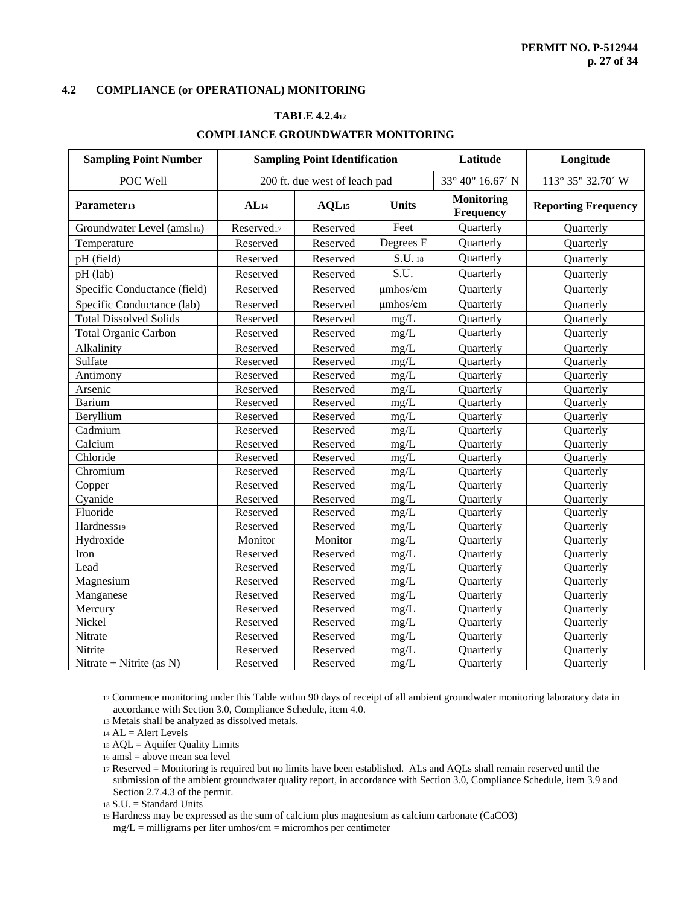# **TABLE 4.2.4<sup>12</sup> COMPLIANCE GROUNDWATER MONITORING**

| <b>Sampling Point Number</b>  | <b>Sampling Point Identification</b> |                     | Latitude         | Longitude                      |                            |
|-------------------------------|--------------------------------------|---------------------|------------------|--------------------------------|----------------------------|
| POC Well                      | 200 ft. due west of leach pad        |                     | 33° 40" 16.67' N | 113° 35" 32.70' W              |                            |
| Parameter <sub>13</sub>       | AL <sub>14</sub>                     | $AQL$ <sub>15</sub> | <b>Units</b>     | <b>Monitoring</b><br>Frequency | <b>Reporting Frequency</b> |
| Groundwater Level (amsl16)    | Reserved <sub>17</sub>               | Reserved            | Feet             | Quarterly                      | Quarterly                  |
| Temperature                   | Reserved                             | Reserved            | Degrees F        | Quarterly                      | Quarterly                  |
| pH (field)                    | Reserved                             | Reserved            | S.U. 18          | Quarterly                      | Quarterly                  |
| pH (lab)                      | Reserved                             | Reserved            | S.U.             | Quarterly                      | Quarterly                  |
| Specific Conductance (field)  | Reserved                             | Reserved            | umhos/cm         | Quarterly                      | Quarterly                  |
| Specific Conductance (lab)    | Reserved                             | Reserved            | umhos/cm         | Quarterly                      | Quarterly                  |
| <b>Total Dissolved Solids</b> | Reserved                             | Reserved            | mg/L             | Quarterly                      | Quarterly                  |
| <b>Total Organic Carbon</b>   | Reserved                             | Reserved            | mg/L             | Quarterly                      | Quarterly                  |
| Alkalinity                    | Reserved                             | Reserved            | mg/L             | Quarterly                      | Quarterly                  |
| Sulfate                       | Reserved                             | Reserved            | mg/L             | Quarterly                      | Quarterly                  |
| Antimony                      | Reserved                             | Reserved            | mg/L             | Quarterly                      | Quarterly                  |
| Arsenic                       | Reserved                             | Reserved            | mg/L             | Quarterly                      | Quarterly                  |
| <b>Barium</b>                 | Reserved                             | Reserved            | mg/L             | Quarterly                      | Quarterly                  |
| Beryllium                     | Reserved                             | Reserved            | mg/L             | Quarterly                      | Quarterly                  |
| Cadmium                       | Reserved                             | Reserved            | mg/L             | Quarterly                      | Quarterly                  |
| Calcium                       | Reserved                             | Reserved            | mg/L             | Quarterly                      | Quarterly                  |
| Chloride                      | Reserved                             | Reserved            | mg/L             | Quarterly                      | Quarterly                  |
| Chromium                      | Reserved                             | Reserved            | mg/L             | Quarterly                      | Quarterly                  |
| Copper                        | Reserved                             | Reserved            | mg/L             | Quarterly                      | Quarterly                  |
| Cyanide                       | Reserved                             | Reserved            | mg/L             | Quarterly                      | Quarterly                  |
| Fluoride                      | Reserved                             | Reserved            | mg/L             | Quarterly                      | Quarterly                  |
| Hardness19                    | Reserved                             | Reserved            | mg/L             | Quarterly                      | Quarterly                  |
| Hydroxide                     | Monitor                              | Monitor             | mg/L             | Quarterly                      | Quarterly                  |
| Iron                          | Reserved                             | Reserved            | mg/L             | Quarterly                      | Quarterly                  |
| Lead                          | Reserved                             | Reserved            | mg/L             | Quarterly                      | Quarterly                  |
| Magnesium                     | Reserved                             | Reserved            | mg/L             | Quarterly                      | Quarterly                  |
| Manganese                     | Reserved                             | Reserved            | mg/L             | Quarterly                      | Quarterly                  |
| Mercury                       | Reserved                             | Reserved            | mg/L             | Quarterly                      | Quarterly                  |
| Nickel                        | Reserved                             | Reserved            | mg/L             | Quarterly                      | Quarterly                  |
| Nitrate                       | Reserved                             | Reserved            | mg/L             | Quarterly                      | Quarterly                  |
| Nitrite                       | Reserved                             | Reserved            | mg/L             | Quarterly                      | Quarterly                  |
| Nitrate + Nitrite (as $N$ )   | Reserved                             | Reserved            | mg/L             | Quarterly                      | Quarterly                  |

<sup>12</sup> Commence monitoring under this Table within 90 days of receipt of all ambient groundwater monitoring laboratory data in accordance with Section 3.0, Compliance Schedule, item 4.0.

<sup>13</sup> Metals shall be analyzed as dissolved metals.

 $14$  AL = Alert Levels

<sup>15</sup> AQL = Aquifer Quality Limits

<sup>16</sup> amsl = above mean sea level

<sup>17</sup> Reserved = Monitoring is required but no limits have been established. ALs and AQLs shall remain reserved until the submission of the ambient groundwater quality report, in accordance with Section 3.0, Compliance Schedule, item 3.9 and Section 2.7.4.3 of the permit.

<sup>18</sup> S.U. = Standard Units

<sup>19</sup> Hardness may be expressed as the sum of calcium plus magnesium as calcium carbonate (CaCO3)  $mg/L =$  milligrams per liter umhos/cm = micromhos per centimeter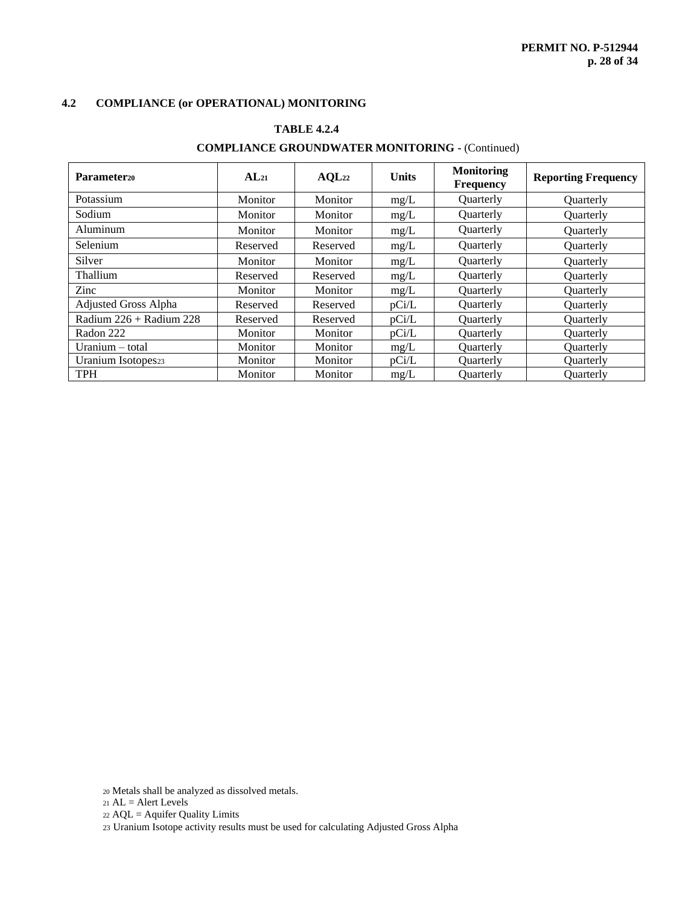# **TABLE 4.2.4**

# **COMPLIANCE GROUNDWATER MONITORING -** (Continued)

| Parameter <sub>20</sub>     | AL <sub>21</sub> | AQL22    | <b>Units</b> | <b>Monitoring</b><br><b>Frequency</b> | <b>Reporting Frequency</b> |
|-----------------------------|------------------|----------|--------------|---------------------------------------|----------------------------|
| Potassium                   | Monitor          | Monitor  | mg/L         | Quarterly                             | <b>Ouarterly</b>           |
| Sodium                      | Monitor          | Monitor  | mg/L         | Quarterly                             | <b>Ouarterly</b>           |
| Aluminum                    | Monitor          | Monitor  | mg/L         | Quarterly                             | <b>Ouarterly</b>           |
| Selenium                    | Reserved         | Reserved | mg/L         | <b>Ouarterly</b>                      | <b>Ouarterly</b>           |
| Silver                      | Monitor          | Monitor  | mg/L         | Quarterly                             | <b>Ouarterly</b>           |
| Thallium                    | Reserved         | Reserved | mg/L         | Quarterly                             | <b>Ouarterly</b>           |
| Zinc                        | Monitor          | Monitor  | mg/L         | <b>Ouarterly</b>                      | <b>Ouarterly</b>           |
| Adjusted Gross Alpha        | Reserved         | Reserved | pCi/L        | Quarterly                             | Quarterly                  |
| Radium $226 +$ Radium $228$ | Reserved         | Reserved | pCi/L        | <b>Ouarterly</b>                      | <b>Ouarterly</b>           |
| Radon 222                   | Monitor          | Monitor  | pCi/L        | <b>Ouarterly</b>                      | <b>Ouarterly</b>           |
| Uranium – total             | Monitor          | Monitor  | mg/L         | <b>Ouarterly</b>                      | <b>Ouarterly</b>           |
| Uranium Isotopes23          | Monitor          | Monitor  | pCi/L        | Quarterly                             | <b>Ouarterly</b>           |
| <b>TPH</b>                  | Monitor          | Monitor  | mg/L         | <b>Ouarterly</b>                      | <b>Ouarterly</b>           |

<sup>20</sup> Metals shall be analyzed as dissolved metals.

 $21$  AL = Alert Levels

<sup>22</sup> AQL = Aquifer Quality Limits

23 Uranium Isotope activity results must be used for calculating Adjusted Gross Alpha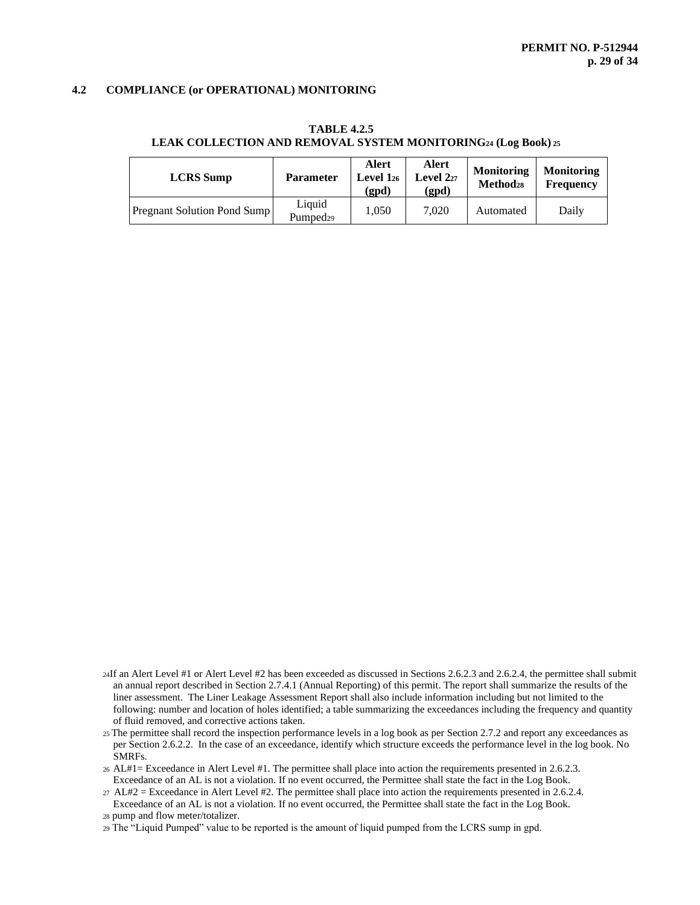**TABLE 4.2.5**

#### **LEAK COLLECTION AND REMOVAL SYSTEM MONITORING<sup>24</sup> (Log Book) <sup>25</sup>**

| <b>LCRS</b> Sump                   | <b>Parameter</b>               | <b>Alert</b><br>Level $1_{26}$<br>(gpd) | Alert<br>Level $2_{27}$<br>(gpd) | <b>Monitoring</b><br><b>Method</b> <sub>28</sub> | <b>Monitoring</b><br><b>Frequency</b> |
|------------------------------------|--------------------------------|-----------------------------------------|----------------------------------|--------------------------------------------------|---------------------------------------|
| <b>Pregnant Solution Pond Sump</b> | Liquid<br>Pumped <sub>29</sub> | 1.050                                   | 7.020                            | Automated                                        | Daily                                 |

- <sup>24</sup>If an Alert Level #1 or Alert Level #2 has been exceeded as discussed in Sections 2.6.2.3 and 2.6.2.4, the permittee shall submit an annual report described in Section 2.7.4.1 (Annual Reporting) of this permit. The report shall summarize the results of the liner assessment. The Liner Leakage Assessment Report shall also include information including but not limited to the following: number and location of holes identified; a table summarizing the exceedances including the frequency and quantity of fluid removed, and corrective actions taken.
- <sup>25</sup> The permittee shall record the inspection performance levels in a log book as per Section 2.7.2 and report any exceedances as per Section 2.6.2.2. In the case of an exceedance, identify which structure exceeds the performance level in the log book. No SMRFs.
- <sup>26</sup>AL#1= Exceedance in Alert Level #1. The permittee shall place into action the requirements presented in 2.6.2.3. Exceedance of an AL is not a violation. If no event occurred, the Permittee shall state the fact in the Log Book.
- <sup>27</sup> AL#2 = Exceedance in Alert Level #2. The permittee shall place into action the requirements presented in 2.6.2.4. Exceedance of an AL is not a violation. If no event occurred, the Permittee shall state the fact in the Log Book.
- <sup>28</sup> pump and flow meter/totalizer.

<sup>29</sup> The "Liquid Pumped" value to be reported is the amount of liquid pumped from the LCRS sump in gpd.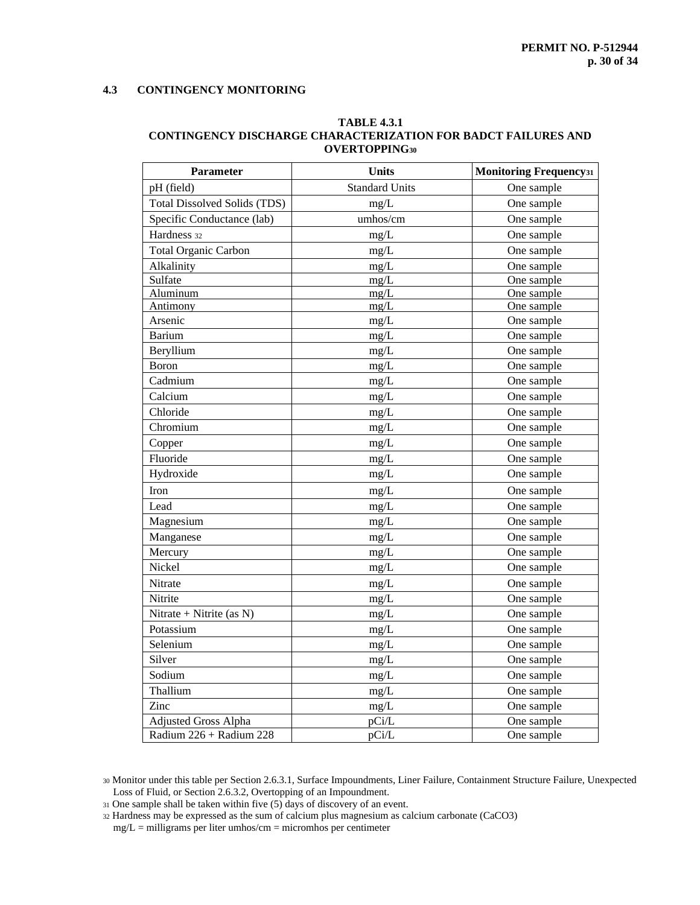# **4.3 CONTINGENCY MONITORING**

#### **TABLE 4.3.1 CONTINGENCY DISCHARGE CHARACTERIZATION FOR BADCT FAILURES AND OVERTOPPING<sup>30</sup>**

| <b>Parameter</b>                    | <b>Units</b>          | <b>Monitoring Frequency</b> 31 |
|-------------------------------------|-----------------------|--------------------------------|
| pH (field)                          | <b>Standard Units</b> | One sample                     |
| <b>Total Dissolved Solids (TDS)</b> | mg/L                  | One sample                     |
| Specific Conductance (lab)          | umhos/cm              | One sample                     |
| Hardness 32                         | $mg/L$                | One sample                     |
| Total Organic Carbon                | mg/L                  | One sample                     |
| Alkalinity                          | mg/L                  | One sample                     |
| Sulfate                             | mg/L                  | One sample                     |
| Aluminum                            | mg/L                  | One sample                     |
| Antimony                            | mg/L                  | One sample                     |
| Arsenic                             | $mg/L$                | One sample                     |
| <b>Barium</b>                       | mg/L                  | One sample                     |
| Beryllium                           | mg/L                  | One sample                     |
| Boron                               | mg/L                  | One sample                     |
| Cadmium                             | mg/L                  | One sample                     |
| Calcium                             | mg/L                  | One sample                     |
| Chloride                            | mg/L                  | One sample                     |
| Chromium                            | mg/L                  | One sample                     |
| Copper                              | mg/L                  | One sample                     |
| Fluoride                            | mg/L                  | One sample                     |
| Hydroxide                           | mg/L                  | One sample                     |
| Iron                                | mg/L                  | One sample                     |
| Lead                                | mg/L                  | One sample                     |
| Magnesium                           | mg/L                  | One sample                     |
| Manganese                           | mg/L                  | One sample                     |
| Mercury                             | mg/L                  | One sample                     |
| Nickel                              | mg/L                  | One sample                     |
| Nitrate                             | mg/L                  | One sample                     |
| Nitrite                             | mg/L                  | One sample                     |
| Nitrate + Nitrite (as N)            | mg/L                  | One sample                     |
| Potassium                           | mg/L                  | One sample                     |
| Selenium                            | mg/L                  | One sample                     |
| Silver                              | mg/L                  | One sample                     |
| Sodium                              | mg/L                  | One sample                     |
| Thallium                            | mg/L                  | One sample                     |
| Zinc                                | mg/L                  | One sample                     |
| <b>Adjusted Gross Alpha</b>         | pCi/L                 | One sample                     |
| Radium 226 + Radium 228             | pCi/L                 | One sample                     |

<sup>30</sup> Monitor under this table per Section 2.6.3.1, Surface Impoundments, Liner Failure, Containment Structure Failure, Unexpected Loss of Fluid, or Section 2.6.3.2, Overtopping of an Impoundment.

<sup>32</sup> Hardness may be expressed as the sum of calcium plus magnesium as calcium carbonate (CaCO3)

 $mg/L =$  milligrams per liter umhos/cm = micromhos per centimeter

<sup>31</sup> One sample shall be taken within five (5) days of discovery of an event.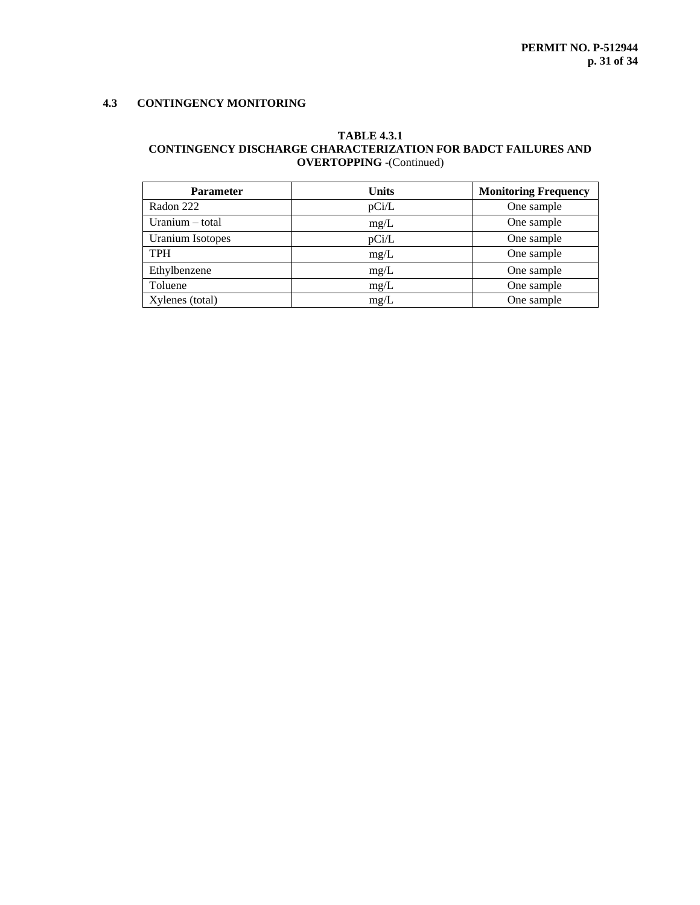# **4.3 CONTINGENCY MONITORING**

# **TABLE 4.3.1 CONTINGENCY DISCHARGE CHARACTERIZATION FOR BADCT FAILURES AND OVERTOPPING -**(Continued)

| <b>Parameter</b>  | <b>Units</b> | <b>Monitoring Frequency</b> |
|-------------------|--------------|-----------------------------|
| Radon 222         | pCi/L        | One sample                  |
| Uranium $-$ total | mg/L         | One sample                  |
| Uranium Isotopes  | pCi/L        | One sample                  |
| <b>TPH</b>        | mg/L         | One sample                  |
| Ethylbenzene      | mg/L         | One sample                  |
| Toluene           | mg/L         | One sample                  |
| Xylenes (total)   | mg/L         | One sample                  |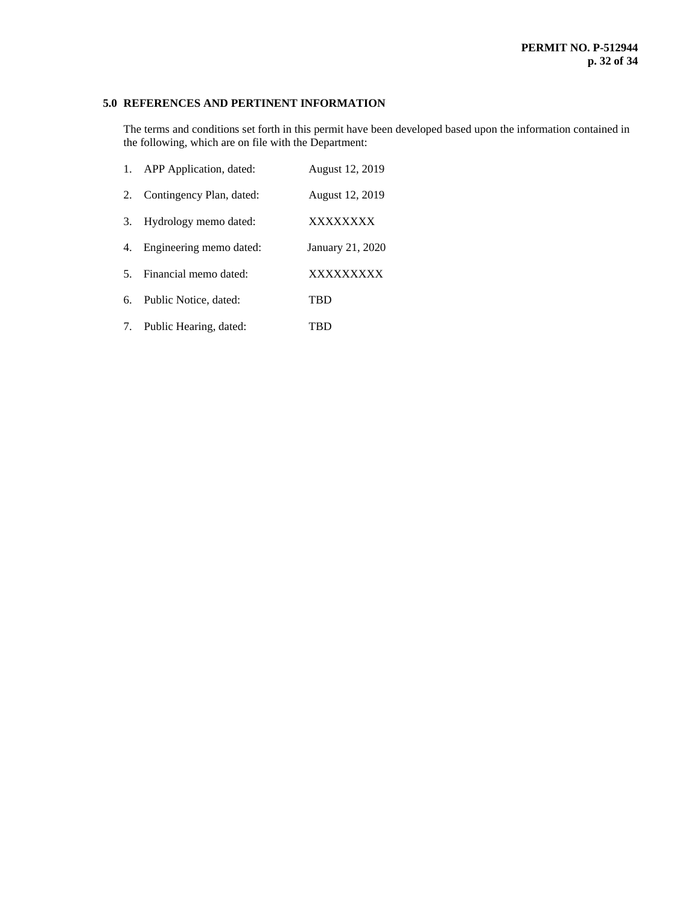# **5.0 REFERENCES AND PERTINENT INFORMATION**

The terms and conditions set forth in this permit have been developed based upon the information contained in the following, which are on file with the Department:

|    | 1. APP Application, dated: | August 12, 2019  |
|----|----------------------------|------------------|
| 2. | Contingency Plan, dated:   | August 12, 2019  |
| 3. | Hydrology memo dated:      | XXXXXXXX         |
| 4. | Engineering memo dated:    | January 21, 2020 |
| 5. | Financial memo dated:      | <b>XXXXXXXXX</b> |
| 6. | Public Notice, dated:      | TBD              |
|    | 7. Public Hearing, dated:  | TBD              |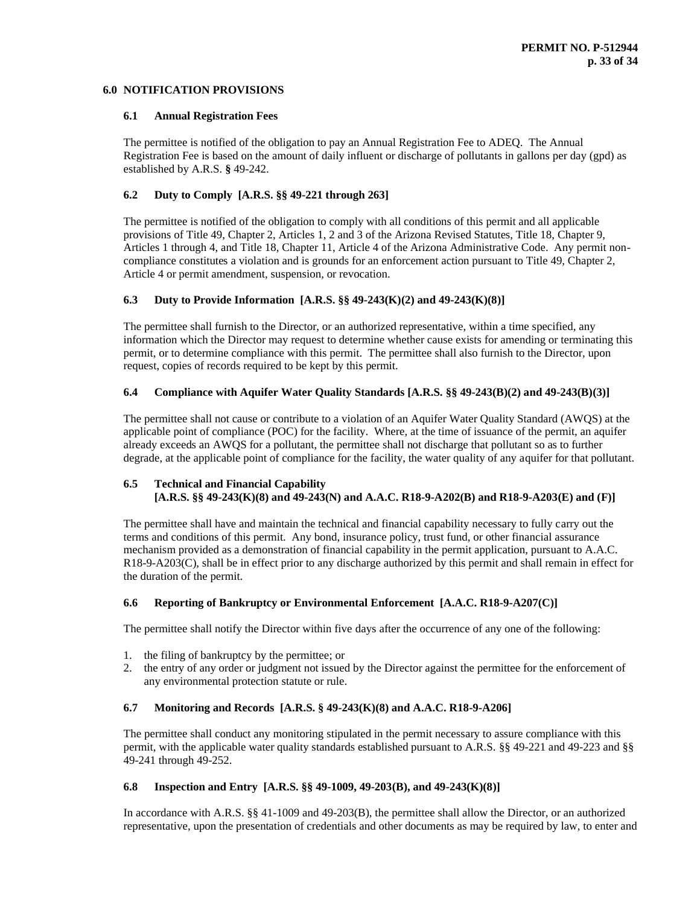## **6.0 NOTIFICATION PROVISIONS**

## **6.1 Annual Registration Fees**

The permittee is notified of the obligation to pay an Annual Registration Fee to ADEQ. The Annual Registration Fee is based on the amount of daily influent or discharge of pollutants in gallons per day (gpd) as established by A.R.S. **§** 49-242.

# **6.2 Duty to Comply [A.R.S. §§ 49-221 through 263]**

The permittee is notified of the obligation to comply with all conditions of this permit and all applicable provisions of Title 49, Chapter 2, Articles 1, 2 and 3 of the Arizona Revised Statutes, Title 18, Chapter 9, Articles 1 through 4, and Title 18, Chapter 11, Article 4 of the Arizona Administrative Code. Any permit noncompliance constitutes a violation and is grounds for an enforcement action pursuant to Title 49, Chapter 2, Article 4 or permit amendment, suspension, or revocation.

# **6.3 Duty to Provide Information [A.R.S. §§ 49-243(K)(2) and 49-243(K)(8)]**

The permittee shall furnish to the Director, or an authorized representative, within a time specified, any information which the Director may request to determine whether cause exists for amending or terminating this permit, or to determine compliance with this permit. The permittee shall also furnish to the Director, upon request, copies of records required to be kept by this permit.

# **6.4 Compliance with Aquifer Water Quality Standards [A.R.S. §§ 49-243(B)(2) and 49-243(B)(3)]**

The permittee shall not cause or contribute to a violation of an Aquifer Water Quality Standard (AWQS) at the applicable point of compliance (POC) for the facility. Where, at the time of issuance of the permit, an aquifer already exceeds an AWQS for a pollutant, the permittee shall not discharge that pollutant so as to further degrade, at the applicable point of compliance for the facility, the water quality of any aquifer for that pollutant.

# **6.5 Technical and Financial Capability [A.R.S. §§ 49-243(K)(8) and 49-243(N) and A.A.C. R18-9-A202(B) and R18-9-A203(E) and (F)]**

The permittee shall have and maintain the technical and financial capability necessary to fully carry out the terms and conditions of this permit. Any bond, insurance policy, trust fund, or other financial assurance mechanism provided as a demonstration of financial capability in the permit application, pursuant to A.A.C. R18-9-A203(C), shall be in effect prior to any discharge authorized by this permit and shall remain in effect for the duration of the permit.

# **6.6 Reporting of Bankruptcy or Environmental Enforcement [A.A.C. R18-9-A207(C)]**

The permittee shall notify the Director within five days after the occurrence of any one of the following:

- 1. the filing of bankruptcy by the permittee; or
- 2. the entry of any order or judgment not issued by the Director against the permittee for the enforcement of any environmental protection statute or rule.

# **6.7 Monitoring and Records [A.R.S. § 49-243(K)(8) and A.A.C. R18-9-A206]**

The permittee shall conduct any monitoring stipulated in the permit necessary to assure compliance with this permit, with the applicable water quality standards established pursuant to A.R.S. §§ 49-221 and 49-223 and §§ 49-241 through 49-252.

# **6.8 Inspection and Entry [A.R.S. §§ 49-1009, 49-203(B), and 49-243(K)(8)]**

In accordance with A.R.S. §§ 41-1009 and 49-203(B), the permittee shall allow the Director, or an authorized representative, upon the presentation of credentials and other documents as may be required by law, to enter and